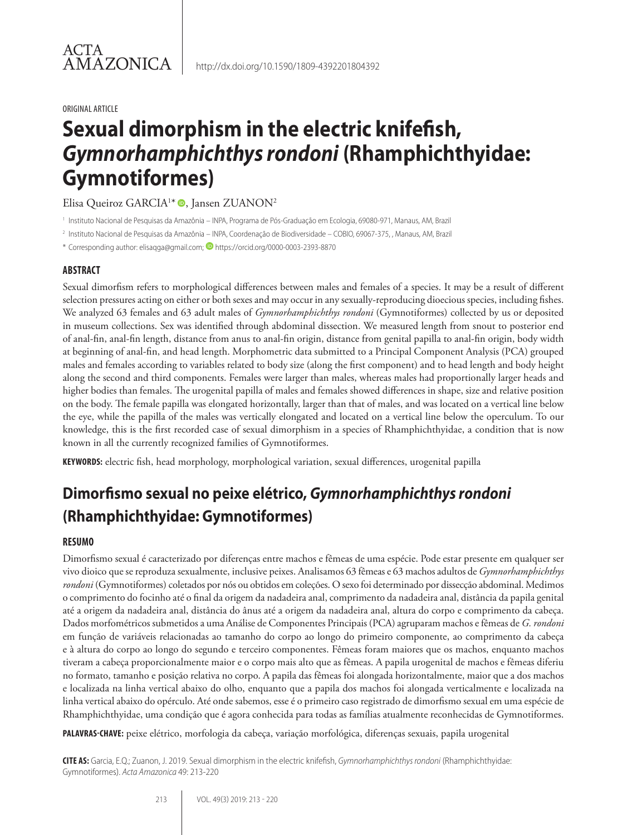#### ORIGINAL ARTICLE

# **Sexual dimorphism in the electric knifefish,**  *Gymnorhamphichthys rondoni* **(Rhamphichthyidae: Gymnotiformes)**

Elisa Queiroz GARCIA<sup>1\*</sup> . Jansen ZUANON<sup>2</sup>

<sup>1</sup> Instituto Nacional de Pesquisas da Amazônia – INPA, Programa de Pós-Graduação em Ecologia, 69080-971, Manaus, AM, Brazil

<sup>2</sup> Instituto Nacional de Pesquisas da Amazônia – INPA, Coordenação de Biodiversidade – COBIO, 69067-375, , Manaus, AM, Brazil

\* Corresponding author: elisaqga@gmail.com; D https://orcid.org/0000-0003-2393-8870

### **ABSTRACT**

Sexual dimorfism refers to morphological differences between males and females of a species. It may be a result of different selection pressures acting on either or both sexes and may occur in any sexually-reproducing dioecious species, including fishes. We analyzed 63 females and 63 adult males of *Gymnorhamphichthys rondoni* (Gymnotiformes) collected by us or deposited in museum collections. Sex was identified through abdominal dissection. We measured length from snout to posterior end of anal-fin, anal-fin length, distance from anus to anal-fin origin, distance from genital papilla to anal-fin origin, body width at beginning of anal-fin, and head length. Morphometric data submitted to a Principal Component Analysis (PCA) grouped males and females according to variables related to body size (along the first component) and to head length and body height along the second and third components. Females were larger than males, whereas males had proportionally larger heads and higher bodies than females. The urogenital papilla of males and females showed differences in shape, size and relative position on the body. The female papilla was elongated horizontally, larger than that of males, and was located on a vertical line below the eye, while the papilla of the males was vertically elongated and located on a vertical line below the operculum. To our knowledge, this is the first recorded case of sexual dimorphism in a species of Rhamphichthyidae, a condition that is now known in all the currently recognized families of Gymnotiformes.

**KEYWORDS:** electric fish, head morphology, morphological variation, sexual differences, urogenital papilla

## **Dimorfismo sexual no peixe elétrico,** *Gymnorhamphichthys rondoni* **(Rhamphichthyidae: Gymnotiformes)**

### **RESUMO**

Dimorfismo sexual é caracterizado por diferenças entre machos e fêmeas de uma espécie. Pode estar presente em qualquer ser vivo dioico que se reproduza sexualmente, inclusive peixes. Analisamos 63 fêmeas e 63 machos adultos de *Gymnorhamphichthys rondoni* (Gymnotiformes) coletados por nós ou obtidos em coleções. O sexo foi determinado por dissecção abdominal. Medimos o comprimento do focinho até o final da origem da nadadeira anal, comprimento da nadadeira anal, distância da papila genital até a origem da nadadeira anal, distância do ânus até a origem da nadadeira anal, altura do corpo e comprimento da cabeça. Dados morfométricos submetidos a uma Análise de Componentes Principais (PCA) agruparam machos e fêmeas de *G. rondoni* em função de variáveis relacionadas ao tamanho do corpo ao longo do primeiro componente, ao comprimento da cabeça e à altura do corpo ao longo do segundo e terceiro componentes. Fêmeas foram maiores que os machos, enquanto machos tiveram a cabeça proporcionalmente maior e o corpo mais alto que as fêmeas. A papila urogenital de machos e fêmeas diferiu no formato, tamanho e posição relativa no corpo. A papila das fêmeas foi alongada horizontalmente, maior que a dos machos e localizada na linha vertical abaixo do olho, enquanto que a papila dos machos foi alongada verticalmente e localizada na linha vertical abaixo do opérculo. Até onde sabemos, esse é o primeiro caso registrado de dimorfismo sexual em uma espécie de Rhamphichthyidae, uma condição que é agora conhecida para todas as famílias atualmente reconhecidas de Gymnotiformes.

**PALAVRAS-CHAVE:** peixe elétrico, morfologia da cabeça, variação morfológica, diferenças sexuais, papila urogenital

**CITE AS:** Garcia, E.Q.; Zuanon, J. 2019. Sexual dimorphism in the electric knifefish, *Gymnorhamphichthys rondoni* (Rhamphichthyidae: Gymnotiformes). *Acta Amazonica* 49: 213-220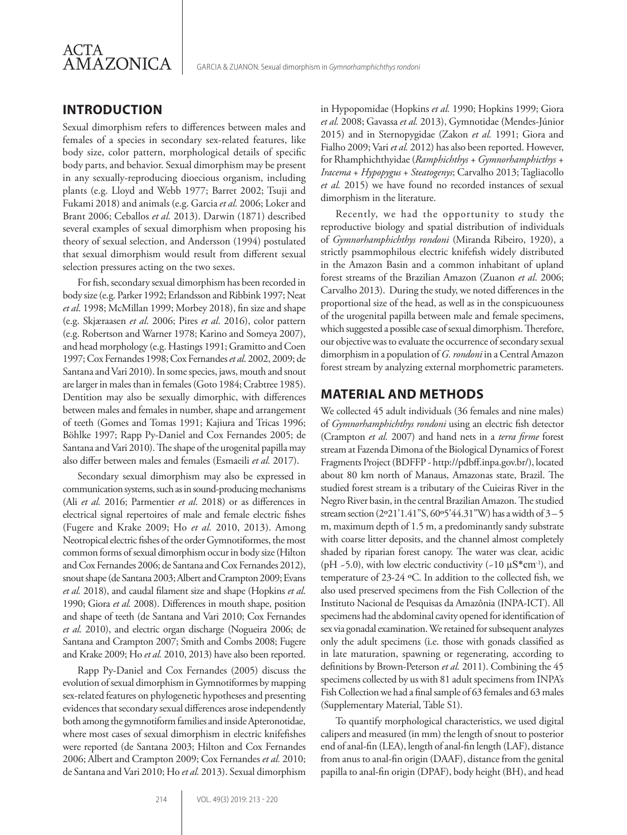

### **INTRODUCTION**

Sexual dimorphism refers to differences between males and females of a species in secondary sex-related features, like body size, color pattern, morphological details of specific body parts, and behavior. Sexual dimorphism may be present in any sexually-reproducing dioecious organism, including plants (e.g. Lloyd and Webb 1977; Barret 2002; Tsuji and Fukami 2018) and animals (e.g. Garcia *et al.* 2006; Loker and Brant 2006; Ceballos *et al.* 2013). Darwin (1871) described several examples of sexual dimorphism when proposing his theory of sexual selection, and Andersson (1994) postulated that sexual dimorphism would result from different sexual selection pressures acting on the two sexes.

For fish, secondary sexual dimorphism has been recorded in body size (e.g. Parker 1992; Erlandsson and Ribbink 1997; Neat *et al*. 1998; McMillan 1999; Morbey 2018), fin size and shape (e.g. Skjæraasen *et al*. 2006; Pires *et al*. 2016), color pattern (e.g. Robertson and Warner 1978; Karino and Someya 2007), and head morphology (e.g. Hastings 1991; Gramitto and Coen 1997; Cox Fernandes 1998; Cox Fernandes *et al*. 2002, 2009; de Santana and Vari 2010). In some species, jaws, mouth and snout are larger in males than in females (Goto 1984; Crabtree 1985). Dentition may also be sexually dimorphic, with differences between males and females in number, shape and arrangement of teeth (Gomes and Tomas 1991; Kajiura and Tricas 1996; Böhlke 1997; Rapp Py-Daniel and Cox Fernandes 2005; de Santana and Vari 2010). The shape of the urogenital papilla may also differ between males and females (Esmaeili *et al.* 2017).

Secondary sexual dimorphism may also be expressed in communication systems, such as in sound-producing mechanisms (Ali *et al.* 2016; Parmentier *et al*. 2018) or as differences in electrical signal repertoires of male and female electric fishes (Fugere and Krake 2009; Ho *et al.* 2010, 2013). Among Neotropical electric fishes of the order Gymnotiformes, the most common forms of sexual dimorphism occur in body size (Hilton and Cox Fernandes 2006; de Santana and Cox Fernandes 2012), snout shape (de Santana 2003; Albert and Crampton 2009; Evans *et al.* 2018), and caudal filament size and shape (Hopkins *et al*. 1990; Giora *et al.* 2008). Differences in mouth shape, position and shape of teeth (de Santana and Vari 2010; Cox Fernandes *et al*. 2010), and electric organ discharge (Nogueira 2006; de Santana and Crampton 2007; Smith and Combs 2008; Fugere and Krake 2009; Ho *et al.* 2010, 2013) have also been reported.

Rapp Py-Daniel and Cox Fernandes (2005) discuss the evolution of sexual dimorphism in Gymnotiformes by mapping sex-related features on phylogenetic hypotheses and presenting evidences that secondary sexual differences arose independently both among the gymnotiform families and inside Apteronotidae, where most cases of sexual dimorphism in electric knifefishes were reported (de Santana 2003; Hilton and Cox Fernandes 2006; Albert and Crampton 2009; Cox Fernandes *et al.* 2010; de Santana and Vari 2010; Ho *et al.* 2013). Sexual dimorphism in Hypopomidae (Hopkins *et al.* 1990; Hopkins 1999; Giora *et al.* 2008; Gavassa *et al.* 2013), Gymnotidae (Mendes-Júnior 2015) and in Sternopygidae (Zakon *et al.* 1991; Giora and Fialho 2009; Vari *et al.* 2012) has also been reported. However, for Rhamphichthyidae (*Ramphichthys + Gymnorhamphicthys + Iracema* + *Hypopygus* + *Steatogenys*; Carvalho 2013; Tagliacollo *et al.* 2015) we have found no recorded instances of sexual dimorphism in the literature.

Recently, we had the opportunity to study the reproductive biology and spatial distribution of individuals of *Gymnorhamphichthys rondoni* (Miranda Ribeiro, 1920), a strictly psammophilous electric knifefish widely distributed in the Amazon Basin and a common inhabitant of upland forest streams of the Brazilian Amazon (Zuanon *et al*. 2006; Carvalho 2013). During the study, we noted differences in the proportional size of the head, as well as in the conspicuouness of the urogenital papilla between male and female specimens, which suggested a possible case of sexual dimorphism. Therefore, our objective was to evaluate the occurrence of secondary sexual dimorphism in a population of *G. rondoni* in a Central Amazon forest stream by analyzing external morphometric parameters.

### **MATERIAL AND METHODS**

We collected 45 adult individuals (36 females and nine males) of *Gymnorhamphichthys rondoni* using an electric fish detector (Crampton *et al.* 2007) and hand nets in a *terra firme* forest stream at Fazenda Dimona of the Biological Dynamics of Forest Fragments Project (BDFFP - http://pdbff.inpa.gov.br/), located about 80 km north of Manaus, Amazonas state, Brazil. The studied forest stream is a tributary of the Cuieiras River in the Negro River basin, in the central Brazilian Amazon. The studied stream section (2º21'1.41"S, 60º5'44.31"W) has a width of 3 – 5 m, maximum depth of 1.5 m, a predominantly sandy substrate with coarse litter deposits, and the channel almost completely shaded by riparian forest canopy. The water was clear, acidic (pH  $-5.0$ ), with low electric conductivity ( $-10 \mu S^*cm^{-1}$ ), and temperature of 23-24 ºC. In addition to the collected fish, we also used preserved specimens from the Fish Collection of the Instituto Nacional de Pesquisas da Amazônia (INPA-ICT). All specimens had the abdominal cavity opened for identification of sex via gonadal examination. We retained for subsequent analyzes only the adult specimens (i.e. those with gonads classified as in late maturation, spawning or regenerating, according to definitions by Brown-Peterson *et al.* 2011). Combining the 45 specimens collected by us with 81 adult specimens from INPA's Fish Collection we had a final sample of 63 females and 63 males (Supplementary Material, Table S1).

To quantify morphological characteristics, we used digital calipers and measured (in mm) the length of snout to posterior end of anal-fin (LEA), length of anal-fin length (LAF), distance from anus to anal-fin origin (DAAF), distance from the genital papilla to anal-fin origin (DPAF), body height (BH), and head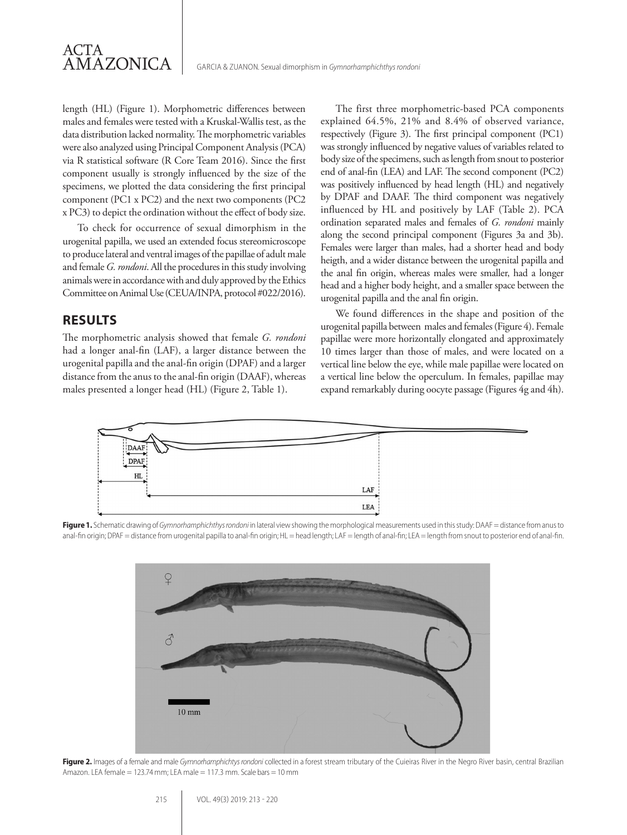

length (HL) (Figure 1). Morphometric differences between males and females were tested with a Kruskal-Wallis test, as the data distribution lacked normality. The morphometric variables were also analyzed using Principal Component Analysis (PCA) via R statistical software (R Core Team 2016). Since the first component usually is strongly influenced by the size of the specimens, we plotted the data considering the first principal component (PC1 x PC2) and the next two components (PC2 x PC3) to depict the ordination without the effect of body size.

To check for occurrence of sexual dimorphism in the urogenital papilla, we used an extended focus stereomicroscope to produce lateral and ventral images of the papillae of adult male and female *G. rondoni*. All the procedures in this study involving animals were in accordance with and duly approved by the Ethics Committee on Animal Use (CEUA/INPA, protocol #022/2016).

### **RESULTS**

The morphometric analysis showed that female *G. rondoni* had a longer anal-fin (LAF), a larger distance between the urogenital papilla and the anal-fin origin (DPAF) and a larger distance from the anus to the anal-fin origin (DAAF), whereas males presented a longer head (HL) (Figure 2, Table 1).

The first three morphometric-based PCA components explained 64.5%, 21% and 8.4% of observed variance, respectively (Figure 3). The first principal component (PC1) was strongly influenced by negative values of variables related to body size of the specimens, such as length from snout to posterior end of anal-fin (LEA) and LAF. The second component (PC2) was positively influenced by head length (HL) and negatively by DPAF and DAAF. The third component was negatively influenced by HL and positively by LAF (Table 2). PCA ordination separated males and females of *G. rondoni* mainly along the second principal component (Figures 3a and 3b). Females were larger than males, had a shorter head and body heigth, and a wider distance between the urogenital papilla and the anal fin origin, whereas males were smaller, had a longer head and a higher body height, and a smaller space between the urogenital papilla and the anal fin origin.

We found differences in the shape and position of the urogenital papilla between males and females (Figure 4). Female papillae were more horizontally elongated and approximately 10 times larger than those of males, and were located on a vertical line below the eye, while male papillae were located on a vertical line below the operculum. In females, papillae may expand remarkably during oocyte passage (Figures 4g and 4h).



**Figure 1.** Schematic drawing of *Gymnorhamphichthys rondoni* in lateral view showing the morphological measurements used in this study: DAAF = distance from anus to anal-fin origin; DPAF = distance from urogenital papilla to anal-fin origin; HL = head length; LAF = length of anal-fin; LEA = length from snout to posterior end of anal-fin.



Figure 2. Images of a female and male *Gymnorhamphichtys rondoni* collected in a forest stream tributary of the Cuieiras River in the Negro River basin, central Brazilian Amazon. LEA female = 123.74 mm; LEA male = 117.3 mm. Scale bars = 10 mm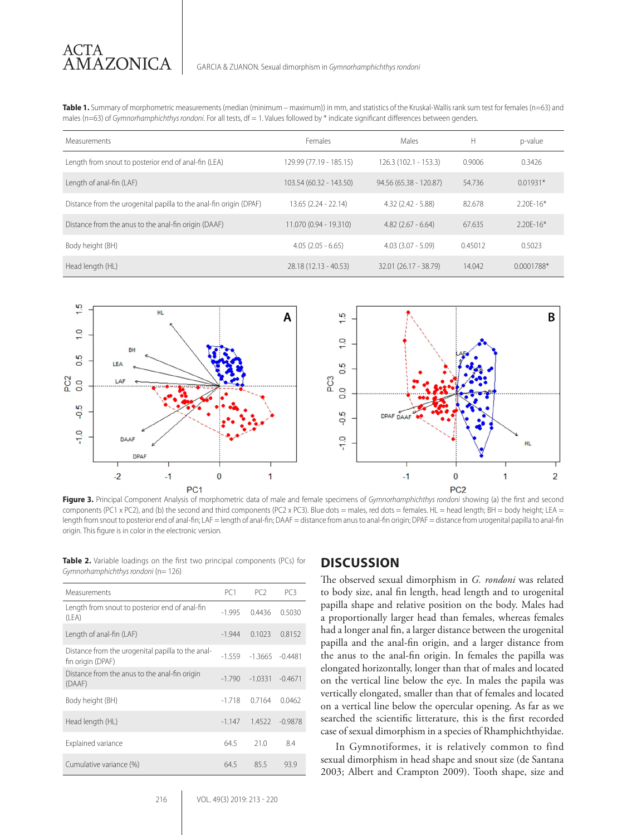**Table 1.** Summary of morphometric measurements (median (minimum – maximum)) in mm, and statistics of the Kruskal-Wallis rank sum test for females (n=63) and males (n=63) of *Gymnorhamphichthys rondoni*. For all tests, df = 1. Values followed by \* indicate significant differences between genders.

| <b>Measurements</b>                                                | Females                 | Males                  | Н       | p-value      |
|--------------------------------------------------------------------|-------------------------|------------------------|---------|--------------|
| Length from snout to posterior end of anal-fin (LEA)               | 129.99 (77.19 - 185.15) | $126.3(102.1 - 153.3)$ | 0.9006  | 0.3426       |
| Length of anal-fin (LAF)                                           | 103.54 (60.32 - 143.50) | 94.56 (65.38 - 120.87) | 54.736  | $0.01931*$   |
| Distance from the urogenital papilla to the anal-fin origin (DPAF) | $13.65(2.24 - 22.14)$   | $4.32(2.42 - 5.88)$    | 82.678  | $2.20F-16*$  |
| Distance from the anus to the anal-fin origin (DAAF)               | 11.070 (0.94 - 19.310)  | $4.82(2.67 - 6.64)$    | 67.635  | $2.20F-16*$  |
| Body height (BH)                                                   | $4.05(2.05 - 6.65)$     | $4.03(3.07 - 5.09)$    | 0.45012 | 0.5023       |
| Head length (HL)                                                   | 28.18 (12.13 - 40.53)   | 32.01 (26.17 - 38.79)  | 14.042  | $0.0001788*$ |



**Figure 3.** Principal Component Analysis of morphometric data of male and female specimens of *Gymnorhamphichthys rondoni* showing (a) the first and second components (PC1 x PC2), and (b) the second and third components (PC2 x PC3). Blue dots = males, red dots = females. HL = head length; BH = body height; LEA = length from snout to posterior end of anal-fin; LAF = length of anal-fin; DAAF = distance from anus to anal-fin origin; DPAF = distance from urogenital papilla to anal-fin origin. This figure is in color in the electronic version.

**Table 2.** Variable loadings on the first two principal components (PCs) for *Gymnorhamphichthys rondoni* (n= 126)

| Measurements                                                           | PC <sub>1</sub> | PC <sub>2</sub> | PC <sub>3</sub> |
|------------------------------------------------------------------------|-----------------|-----------------|-----------------|
| Length from snout to posterior end of anal-fin<br>(LEA)                | $-1.995$        | 0.4436          | 0.5030          |
| Length of anal-fin (LAF)                                               | $-1.944$        | 0.1023          | 0.8152          |
| Distance from the urogenital papilla to the anal-<br>fin origin (DPAF) | $-1.559$        | $-1.3665$       | $-0.4481$       |
| Distance from the anus to the anal-fin origin<br>(DAAF)                | $-1.790$        | $-1.0331$       | $-0.4671$       |
| Body height (BH)                                                       | $-1.718$        | 0.7164          | 0.0462          |
| Head length (HL)                                                       | $-1.147$        | 1.4522          | $-0.9878$       |
| Explained variance                                                     | 64.5            | 21.0            | 8.4             |
| Cumulative variance (%)                                                | 64.5            | 85.5            | 93.9            |

### **DISCUSSION**

The observed sexual dimorphism in *G. rondoni* was related to body size, anal fin length, head length and to urogenital papilla shape and relative position on the body. Males had a proportionally larger head than females, whereas females had a longer anal fin, a larger distance between the urogenital papilla and the anal-fin origin, and a larger distance from the anus to the anal-fin origin. In females the papilla was elongated horizontally, longer than that of males and located on the vertical line below the eye. In males the papila was vertically elongated, smaller than that of females and located on a vertical line below the opercular opening. As far as we searched the scientific litterature, this is the first recorded case of sexual dimorphism in a species of Rhamphichthyidae.

In Gymnotiformes, it is relatively common to find sexual dimorphism in head shape and snout size (de Santana 2003; Albert and Crampton 2009). Tooth shape, size and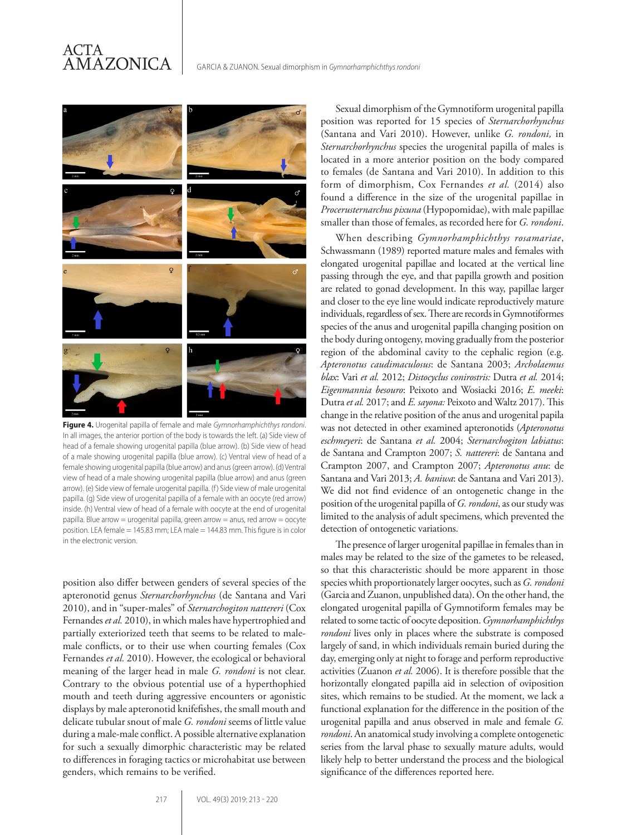### ACTA AMAZONICA



**Figure 4.** Urogenital papilla of female and male *Gymnorhamphichthys rondoni*. In all images, the anterior portion of the body is towards the left. (a) Side view of head of a female showing urogenital papilla (blue arrow). (b) Side view of head of a male showing urogenital papilla (blue arrow). (c) Ventral view of head of a female showing urogenital papilla (blue arrow) and anus (green arrow). (d) Ventral view of head of a male showing urogenital papilla (blue arrow) and anus (green arrow). (e) Side view of female urogenital papilla. (f) Side view of male urogenital papilla. (g) Side view of urogenital papilla of a female with an oocyte (red arrow) inside. (h) Ventral view of head of a female with oocyte at the end of urogenital papilla. Blue arrow = urogenital papilla, green arrow = anus, red arrow = oocyte position. LEA female = 145.83 mm; LEA male = 144.83 mm. This figure is in color in the electronic version.

position also differ between genders of several species of the apteronotid genus *Sternarchorhynchus* (de Santana and Vari 2010), and in "super-males" of *Sternarchogiton nattereri* (Cox Fernandes *et al.* 2010), in which males have hypertrophied and partially exteriorized teeth that seems to be related to malemale conflicts, or to their use when courting females (Cox Fernandes *et al.* 2010). However, the ecological or behavioral meaning of the larger head in male *G. rondoni* is not clear. Contrary to the obvious potential use of a hyperthophied mouth and teeth during aggressive encounters or agonistic displays by male apteronotid knifefishes, the small mouth and delicate tubular snout of male *G. rondoni* seems of little value during a male-male conflict. A possible alternative explanation for such a sexually dimorphic characteristic may be related to differences in foraging tactics or microhabitat use between genders, which remains to be verified.

Sexual dimorphism of the Gymnotiform urogenital papilla position was reported for 15 species of *Sternarchorhynchus*  (Santana and Vari 2010). However, unlike *G. rondoni,* in *Sternarchorhynchus* species the urogenital papilla of males is located in a more anterior position on the body compared to females (de Santana and Vari 2010). In addition to this form of dimorphism, Cox Fernandes *et al.* (2014) also found a difference in the size of the urogenital papillae in *Procerusternarchus pixuna* (Hypopomidae), with male papillae smaller than those of females, as recorded here for *G. rondoni*.

When describing *Gymnorhamphichthys rosamariae*, Schwassmann (1989) reported mature males and females with elongated urogenital papillae and located at the vertical line passing through the eye, and that papilla growth and position are related to gonad development. In this way, papillae larger and closer to the eye line would indicate reproductively mature individuals, regardless of sex. There are records in Gymnotiformes species of the anus and urogenital papilla changing position on the body during ontogeny, moving gradually from the posterior region of the abdominal cavity to the cephalic region (e.g. *Apteronotus caudimaculosus*: de Santana 2003; *Archolaemus blax*: Vari *et al.* 2012; *Distocyclus conirostris:* Dutra *et al.* 2014; *Eigenmannia besouro*: Peixoto and Wosiacki 2016; *E. meeki*: Dutra *et al.* 2017; and *E. sayona:* Peixoto and Waltz 2017). This change in the relative position of the anus and urogenital papila was not detected in other examined apteronotids (*Apteronotus eschmeyeri*: de Santana *et al.* 2004; *Sternarchogiton labiatus*: de Santana and Crampton 2007; *S. nattereri*: de Santana and Crampton 2007, and Crampton 2007; *Apteronotus anu*: de Santana and Vari 2013; *A. baniwa*: de Santana and Vari 2013). We did not find evidence of an ontogenetic change in the position of the urogenital papilla of *G. rondoni*, as our study was limited to the analysis of adult specimens, which prevented the detection of ontogenetic variations.

The presence of larger urogenital papillae in females than in males may be related to the size of the gametes to be released, so that this characteristic should be more apparent in those species whith proportionately larger oocytes, such as *G. rondoni* (Garcia and Zuanon, unpublished data). On the other hand, the elongated urogenital papilla of Gymnotiform females may be related to some tactic of oocyte deposition. *Gymnorhamphichthys rondoni* lives only in places where the substrate is composed largely of sand, in which individuals remain buried during the day, emerging only at night to forage and perform reproductive activities (Zuanon *et al.* 2006). It is therefore possible that the horizontally elongated papilla aid in selection of oviposition sites, which remains to be studied. At the moment, we lack a functional explanation for the difference in the position of the urogenital papilla and anus observed in male and female *G. rondoni*. An anatomical study involving a complete ontogenetic series from the larval phase to sexually mature adults, would likely help to better understand the process and the biological significance of the differences reported here.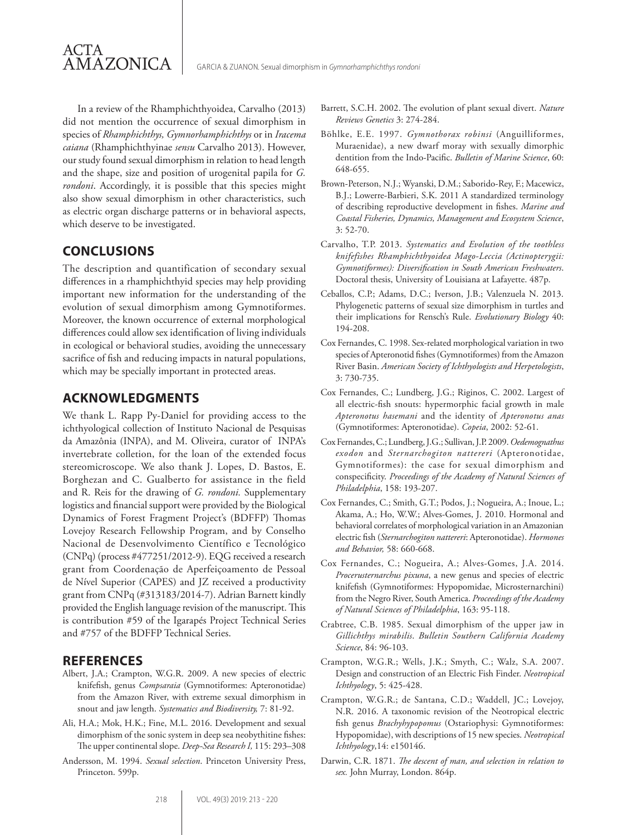In a review of the Rhamphichthyoidea, Carvalho (2013) did not mention the occurrence of sexual dimorphism in species of *Rhamphichthys, Gymnorhamphichthys* or in *Iracema caiana* (Rhamphichthyinae *sensu* Carvalho 2013). However, our study found sexual dimorphism in relation to head length and the shape, size and position of urogenital papila for *G. rondoni*. Accordingly, it is possible that this species might also show sexual dimorphism in other characteristics, such as electric organ discharge patterns or in behavioral aspects, which deserve to be investigated.

### **CONCLUSIONS**

ACTA

AMAZONICA

The description and quantification of secondary sexual differences in a rhamphichthyid species may help providing important new information for the understanding of the evolution of sexual dimorphism among Gymnotiformes. Moreover, the known occurrence of external morphological differences could allow sex identification of living individuals in ecological or behavioral studies, avoiding the unnecessary sacrifice of fish and reducing impacts in natural populations, which may be specially important in protected areas.

### **ACKNOWLEDGMENTS**

We thank L. Rapp Py-Daniel for providing access to the ichthyological collection of Instituto Nacional de Pesquisas da Amazônia (INPA), and M. Oliveira, curator of INPA's invertebrate colletion, for the loan of the extended focus stereomicroscope. We also thank J. Lopes, D. Bastos, E. Borghezan and C. Gualberto for assistance in the field and R. Reis for the drawing of *G. rondoni.* Supplementary logistics and financial support were provided by the Biological Dynamics of Forest Fragment Project's (BDFFP) Thomas Lovejoy Research Fellowship Program, and by Conselho Nacional de Desenvolvimento Científico e Tecnológico (CNPq) (process #477251/2012-9). EQG received a research grant from Coordenação de Aperfeiçoamento de Pessoal de Nível Superior (CAPES) and JZ received a productivity grant from CNPq (#313183/2014-7). Adrian Barnett kindly provided the English language revision of the manuscript. This is contribution #59 of the Igarapés Project Technical Series and #757 of the BDFFP Technical Series.

### **REFERENCES**

- Albert, J.A.; Crampton, W.G.R. 2009. A new species of electric knifefish, genus *Compsaraia* (Gymnotiformes: Apteronotidae) from the Amazon River, with extreme sexual dimorphism in snout and jaw length. *Systematics and Biodiversity,* 7: 81-92.
- Ali, H.A.; Mok, H.K.; Fine, M.L. 2016. Development and sexual dimorphism of the sonic system in deep sea neobythitine fishes: The upper continental slope. *Deep-Sea Research I,* 115: 293–308
- Andersson, M. 1994. *Sexual selection*. Princeton University Press, Princeton. 599p.
- Barrett, S.C.H. 2002. The evolution of plant sexual divert. *Nature Reviews Genetics* 3: 274-284.
- Böhlke, E.E. 1997. *Gymnothorax robinsi* (Anguilliformes, Muraenidae), a new dwarf moray with sexually dimorphic dentition from the Indo-Pacific. *Bulletin of Marine Science*, 60: 648-655.
- Brown-Peterson, N.J.; Wyanski, D.M.; Saborido-Rey, F.; Macewicz, B.J.; Lowerre-Barbieri, S.K. 2011 A standardized terminology of describing reproductive development in fishes. *Marine and Coastal Fisheries, Dynamics, Management and Ecosystem Science*, 3: 52-70.
- Carvalho, T.P. 2013. *Systematics and Evolution of the toothless knifefishes Rhamphichthyoidea Mago-Leccia (Actinopterygii: Gymnotiformes): Diversification in South American Freshwaters*. Doctoral thesis, University of Louisiana at Lafayette. 487p.
- Ceballos, C.P.; Adams, D.C.; Iverson, J.B.; Valenzuela N. 2013. Phylogenetic patterns of sexual size dimorphism in turtles and their implications for Rensch's Rule. *Evolutionary Biology* 40: 194-208.
- Cox Fernandes, C. 1998. Sex-related morphological variation in two species of Apteronotid fishes (Gymnotiformes) from the Amazon River Basin. *American Society of Ichthyologists and Herpetologists*, 3: 730-735.
- Cox Fernandes, C.; Lundberg, J.G.; Riginos, C. 2002. Largest of all electric-fish snouts: hypermorphic facial growth in male *Apteronotus hasemani* and the identity of *Apteronotus anas*  (Gymnotiformes: Apteronotidae). *Copeia*, 2002: 52-61.
- Cox Fernandes, C.; Lundberg, J.G.; Sullivan, J.P. 2009. *Oedemognathus exodon* and *Sternarchogiton nattereri* (Apteronotidae, Gymnotiformes): the case for sexual dimorphism and conspecificity. *Proceedings of the Academy of Natural Sciences of Philadelphia*, 158: 193-207.
- Cox Fernandes, C.; Smith, G.T.; Podos, J.; Nogueira, A.; Inoue, L.; Akama, A.; Ho, W.W.; Alves-Gomes, J. 2010. Hormonal and behavioral correlates of morphological variation in an Amazonian electric fish (*Sternarchogiton nattereri*: Apteronotidae). *Hormones and Behavior,* 58: 660-668.
- Cox Fernandes, C.; Nogueira, A.; Alves-Gomes, J.A. 2014. *Procerusternarchus pixuna*, a new genus and species of electric knifefish (Gymnotiformes: Hypopomidae, Microsternarchini) from the Negro River, South America. *Proceedings of the Academy of Natural Sciences of Philadelphia*, 163: 95-118.
- Crabtree, C.B. 1985. Sexual dimorphism of the upper jaw in *Gillichthys mirabilis*. *Bulletin Southern California Academy Science*, 84: 96-103.
- Crampton, W.G.R.; Wells, J.K.; Smyth, C.; Walz, S.A. 2007. Design and construction of an Electric Fish Finder. *Neotropical Ichthyology*, 5: 425-428.
- Crampton, W.G.R.; de Santana, C.D.; Waddell, JC.; Lovejoy, N.R. 2016. A taxonomic revision of the Neotropical electric fish genus *Brachyhypopomus* (Ostariophysi: Gymnotiformes: Hypopomidae), with descriptions of 15 new species. *Neotropical Ichthyology*,14: e150146.
- Darwin, C.R. 1871. *The descent of man, and selection in relation to sex.* John Murray, London. 864p.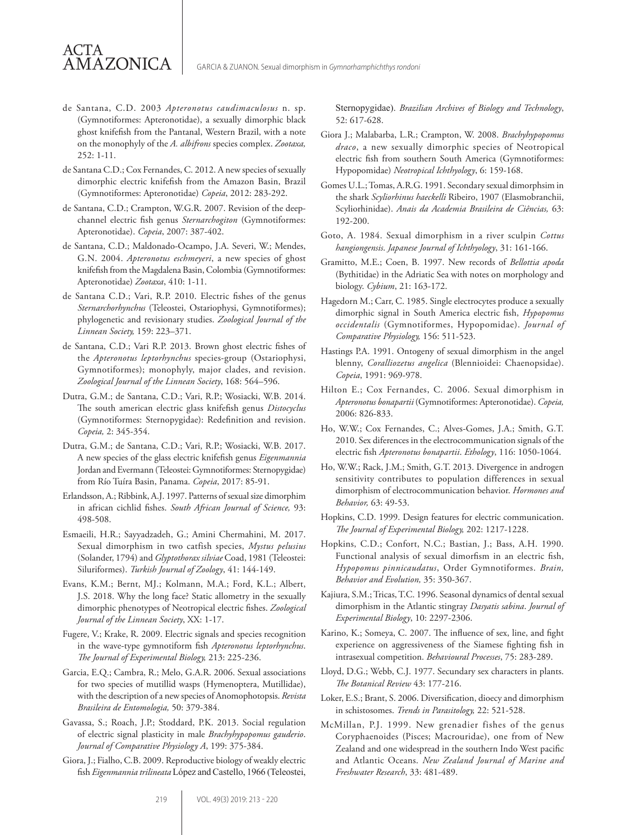de Santana, C.D. 2003 *Apteronotus caudimaculosus* n. sp. (Gymnotiformes: Apteronotidae), a sexually dimorphic black ghost knifefish from the Pantanal, Western Brazil, with a note on the monophyly of the *A. albifrons* species complex. *Zootaxa,* 252: 1-11.

ACTA

AMAZONICA

- de Santana C.D.; Cox Fernandes, C. 2012. A new species of sexually dimorphic electric knifefish from the Amazon Basin, Brazil (Gymnotiformes: Apteronotidae) *Copeia*, 2012: 283-292.
- de Santana, C.D.; Crampton, W.G.R. 2007. Revision of the deepchannel electric fish genus *Sternarchogiton* (Gymnotiformes: Apteronotidae). *Copeia*, 2007: 387-402.
- de Santana, C.D.; Maldonado-Ocampo, J.A. Severi, W.; Mendes, G.N. 2004. *Apteronotus eschmeyeri*, a new species of ghost knifefish from the Magdalena Basin, Colombia (Gymnotiformes: Apteronotidae) *Zootaxa*, 410: 1-11.
- de Santana C.D.; Vari, R.P. 2010. Electric fishes of the genus *Sternarchorhynchus* (Teleostei, Ostariophysi, Gymnotiformes); phylogenetic and revisionary studies. *Zoological Journal of the Linnean Society,* 159: 223–371.
- de Santana, C.D.; Vari R.P. 2013. Brown ghost electric fishes of the *Apteronotus leptorhynchus* species-group (Ostariophysi, Gymnotiformes); monophyly, major clades, and revision. *Zoological Journal of the Linnean Society*, 168: 564–596.
- Dutra, G.M.; de Santana, C.D.; Vari, R.P.; Wosiacki, W.B. 2014. The south american electric glass knifefish genus *Distocyclus* (Gymnotiformes: Sternopygidae): Redefinition and revision. *Copeia,* 2: 345-354.
- Dutra, G.M.; de Santana, C.D.; Vari, R.P.; Wosiacki, W.B. 2017. A new species of the glass electric knifefish genus *Eigenmannia* Jordan and Evermann (Teleostei: Gymnotiformes: Sternopygidae) from Río Tuíra Basin, Panama. *Copeia*, 2017: 85-91.
- Erlandsson, A.; Ribbink, A.J. 1997. Patterns of sexual size dimorphim in african cichlid fishes. *South African Journal of Science,* 93: 498-508.
- Esmaeili, H.R.; Sayyadzadeh, G.; Amini Chermahini, M. 2017. Sexual dimorphism in two catfish species, *Mystus pelusius* (Solander, 1794) and *Glyptothorax silviae* Coad, 1981 (Teleostei: Siluriformes). *Turkish Journal of Zoology*, 41: 144-149.
- Evans, K.M.; Bernt, MJ.; Kolmann, M.A.; Ford, K.L.; Albert, J.S. 2018. Why the long face? Static allometry in the sexually dimorphic phenotypes of Neotropical electric fishes. *Zoological Journal of the Linnean Society*, XX: 1-17.
- Fugere, V.; Krake, R. 2009. Electric signals and species recognition in the wave-type gymnotiform fish *Apteronotus leptorhynchus*. *The Journal of Experimental Biology,* 213: 225-236.
- Garcia, E.Q.; Cambra, R.; Melo, G.A.R. 2006. Sexual associations for two species of mutillid wasps (Hymenoptera, Mutillidae), with the description of a new species of Anomophotopsis. *Revista Brasileira de Entomologia,* 50: 379-384.
- Gavassa, S.; Roach, J.P.; Stoddard, P.K. 2013. Social regulation of electric signal plasticity in male *Brachyhypopomus gauderio*. *Journal of Comparative Physiology A*, 199: 375-384.
- Giora, J.; Fialho, C.B. 2009. Reproductive biology of weakly electric fish *Eigenmannia trilineata* López and Castello, 1966 (Teleostei,

Sternopygidae). *Brazilian Archives of Biology and Technology*, 52: 617-628.

- Giora J.; Malabarba, L.R.; Crampton, W. 2008. *Brachyhypopomus draco*, a new sexually dimorphic species of Neotropical electric fish from southern South America (Gymnotiformes: Hypopomidae) *Neotropical Ichthyology*, 6: 159-168.
- Gomes U.L.; Tomas, A.R.G. 1991. Secondary sexual dimorphsim in the shark *Scyliorhinus haeckelli* Ribeiro, 1907 (Elasmobranchii, Scyliorhinidae). *Anais da Academia Brasileira de Ciências,* 63: 192-200.
- Goto, A. 1984. Sexual dimorphism in a river sculpin *Cottus hangiongensis*. *Japanese Journal of Ichthyology*, 31: 161-166.
- Gramitto, M.E.; Coen, B. 1997. New records of *Bellottia apoda* (Bythitidae) in the Adriatic Sea with notes on morphology and biology. *Cybium*, 21: 163-172.
- Hagedorn M.; Carr, C. 1985. Single electrocytes produce a sexually dimorphic signal in South America electric fish, *Hypopomus occidentalis* (Gymnotiformes, Hypopomidae). *Journal of Comparative Physiology,* 156: 511-523.
- Hastings P.A. 1991. Ontogeny of sexual dimorphism in the angel blenny, *Coralliozetus angelica* (Blennioidei: Chaenopsidae). *Copeia*, 1991: 969-978.
- Hilton E.; Cox Fernandes, C. 2006. Sexual dimorphism in *Apteronotus bonapartii* (Gymnotiformes: Apteronotidae). *Copeia,* 2006: 826-833.
- Ho, W.W.; Cox Fernandes, C.; Alves-Gomes, J.A.; Smith, G.T. 2010. Sex diferences in the electrocommunication signals of the electric fish *Apteronotus bonapartii*. *Ethology*, 116: 1050-1064.
- Ho, W.W.; Rack, J.M.; Smith, G.T. 2013. Divergence in androgen sensitivity contributes to population differences in sexual dimorphism of electrocommunication behavior. *Hormones and Behavior,* 63: 49-53.
- Hopkins, C.D. 1999. Design features for electric communication. *The Journal of Experimental Biology,* 202: 1217-1228.
- Hopkins, C.D.; Confort, N.C.; Bastian, J.; Bass, A.H. 1990. Functional analysis of sexual dimorfism in an electric fish, *Hypopomus pinnicaudatus*, Order Gymnotiformes. *Brain, Behavior and Evolution,* 35: 350-367.
- Kajiura, S.M.; Tricas, T.C. 1996. Seasonal dynamics of dental sexual dimorphism in the Atlantic stingray *Dasyatis sabina*. *Journal of Experimental Biology*, 10: 2297-2306.
- Karino, K.; Someya, C. 2007. The influence of sex, line, and fight experience on aggressiveness of the Siamese fighting fish in intrasexual competition. *Behavioural Processes*, 75: 283-289.
- Lloyd, D.G.; Webb, C.J. 1977. Secundary sex characters in plants. *The Botanical Review* 43: 177-216.
- Loker, E.S.; Brant, S. 2006. Diversification, dioecy and dimorphism in schistosomes. *Trends in Parasitology,* 22: 521-528.
- McMillan, P.J. 1999. New grenadier fishes of the genus Coryphaenoides (Pisces; Macrouridae), one from of New Zealand and one widespread in the southern Indo West pacific and Atlantic Oceans. *New Zealand Journal of Marine and Freshwater Research*, 33: 481-489.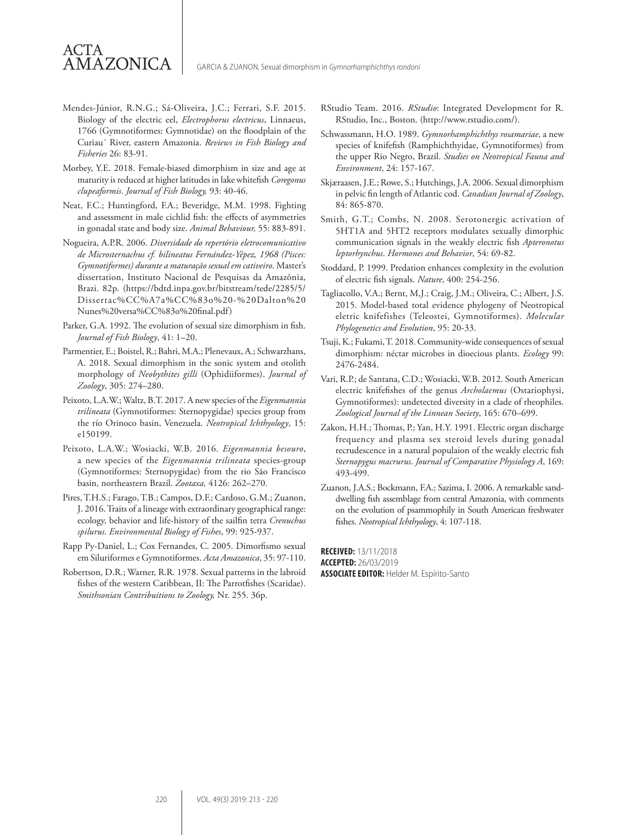Mendes-Júnior, R.N.G.; Sá-Oliveira, J.C.; Ferrari, S.F. 2015. Biology of the electric eel, *Electrophorus electricus*, Linnaeus, 1766 (Gymnotiformes: Gymnotidae) on the floodplain of the Curiau´ River, eastern Amazonia. *Reviews in Fish Biology and Fisheries* 26: 83-91.

ACTA

AMAZONICA

- Morbey, Y.E. 2018. Female-biased dimorphism in size and age at maturity is reduced at higher latitudes in lake whitefish *Coregonus clupeaformis*. *Journal of Fish Biology,* 93: 40-46.
- Neat, F.C.; Huntingford, F.A.; Beveridge, M.M. 1998. Fighting and assessment in male cichlid fish: the effects of asymmetries in gonadal state and body size. *Animal Behaviour,* 55: 883-891.
- Nogueira, A.P.R. 2006. *Diversidade do repertório eletrocomunicativo de Microsternachus cf. bilineatus Fernández-Yépez, 1968 (Pisces: Gymnotiformes) durante a maturação sexual em cativeiro*. Master's dissertation, Instituto Nacional de Pesquisas da Amazônia, Brazi. 82p. (https://bdtd.inpa.gov.br/bitstream/tede/2285/5/ Dissertac%CC%A7a%CC%83o%20-%20Dalton%20 Nunes%20versa%CC%83o%20final.pdf)
- Parker, G.A. 1992. The evolution of sexual size dimorphism in fish. *Journal of Fish Biology*, 41: 1–20.
- Parmentier, E.; Boistel, R.; Bahri, M.A.; Plenevaux, A.; Schwarzhans, A. 2018. Sexual dimorphism in the sonic system and otolith morphology of *Neobythites gilli* (Ophidiiformes). *Journal of Zoology*, 305: 274–280.
- Peixoto, L.A.W.; Waltz, B.T. 2017. A new species of the *Eigenmannia trilineata* (Gymnotiformes: Sternopygidae) species group from the río Orinoco basin, Venezuela. *Neotropical Ichthyology*, 15: e150199.
- Peixoto, L.A.W.; Wosiacki, W.B. 2016. *Eigenmannia besouro*, a new species of the *Eigenmannia trilineata* species-group (Gymnotiformes: Sternopygidae) from the rio São Francisco basin, northeastern Brazil. *Zootaxa,* 4126: 262–270.
- Pires, T.H.S.; Farago, T.B.; Campos, D.F.; Cardoso, G.M.; Zuanon, J. 2016. Traits of a lineage with extraordinary geographical range: ecology, behavior and life-history of the sailfin tetra *Crenuchus spilurus*. *Environmental Biology of Fishes*, 99: 925-937.
- Rapp Py-Daniel, L.; Cox Fernandes, C. 2005. Dimorfismo sexual em Siluriformes e Gymnotiformes. *Acta Amazonica*, 35: 97-110.
- Robertson, D.R.; Warner, R.R. 1978. Sexual patterns in the labroid fishes of the western Caribbean, II: The Parrotfishes (Scaridae). *Smithsonian Contribuitions to Zoology,* Nr. 255. 36p.
- RStudio Team. 2016. *RStudio*: Integrated Development for R. RStudio, Inc., Boston. (http://www.rstudio.com/).
- Schwassmann, H.O. 1989. *Gymnorhamphichthys rosamariae*, a new species of knifefish (Ramphichthyidae, Gymnotiformes) from the upper Rio Negro, Brazil. *Studies on Neotropical Fauna and Environment*, 24: 157-167.
- Skjæraasen, J.E.; Rowe, S.; Hutchings, J.A. 2006. Sexual dimorphism in pelvic fin length of Atlantic cod. *Canadian Journal of Zoology*, 84: 865-870.
- Smith, G.T.; Combs, N. 2008. Serotonergic activation of 5HT1A and 5HT2 receptors modulates sexually dimorphic communication signals in the weakly electric fish *Apteronotus leptorhynchus*. *Hormones and Behavior*, 54: 69-82.
- Stoddard, P. 1999. Predation enhances complexity in the evolution of electric fish signals. *Nature*, 400: 254-256.
- Tagliacollo, V.A.; Bernt, M,J.; Craig, J.M.; Oliveira, C.; Albert, J.S. 2015. Model-based total evidence phylogeny of Neotropical eletric knifefishes (Teleostei, Gymnotiformes). *Molecular Phylogenetics and Evolution*, 95: 20-33.
- Tsuji, K.; Fukami, T. 2018. Community-wide consequences of sexual dimorphism: néctar microbes in dioecious plants. *Ecology* 99: 2476-2484.
- Vari, R.P.; de Santana, C.D.; Wosiacki, W.B. 2012. South American electric knifefishes of the genus *Archolaemus* (Ostariophysi, Gymnotiformes): undetected diversity in a clade of rheophiles. *Zoological Journal of the Linnean Society*, 165: 670–699.
- Zakon, H.H.; Thomas, P.; Yan, H.Y. 1991. Electric organ discharge frequency and plasma sex steroid levels during gonadal recrudescence in a natural populaion of the weakly electric fish *Sternopygus macrurus*. *Journal of Comparative Physiology A*, 169: 493-499.
- Zuanon, J.A.S.; Bockmann, F.A.; Sazima, I. 2006. A remarkable sanddwelling fish assemblage from central Amazonia, with comments on the evolution of psammophily in South American freshwater fishes. *Neotropical Ichthyology*, 4: 107-118.

**RECEIVED:** 13/11/2018 **ACCEPTED:** 26/03/2019 **ASSOCIATE EDITOR:** Helder M. Espírito-Santo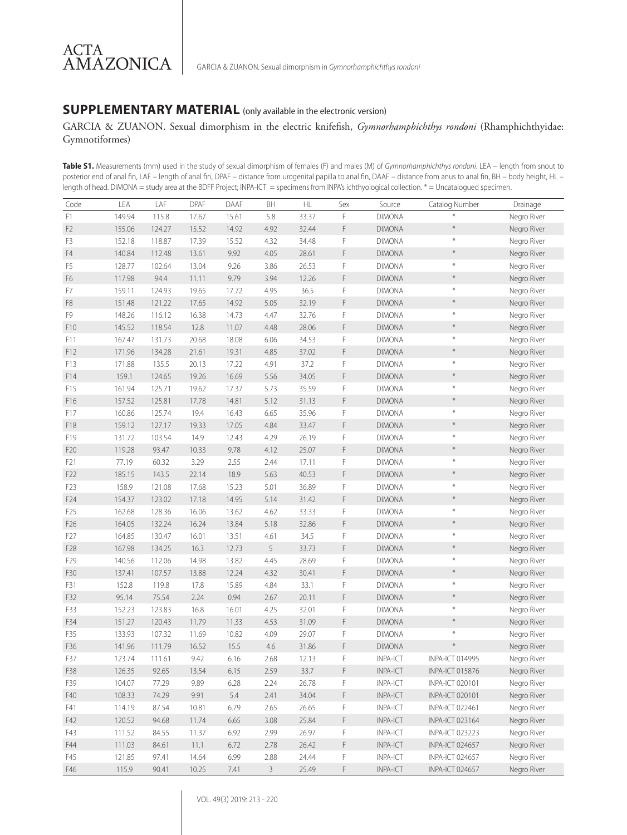### **SUPPLEMENTARY MATERIAL** (only available in the electronic version)

GARCIA & ZUANON. Sexual dimorphism in the electric knifefish, *Gymnorhamphichthys rondoni* (Rhamphichthyidae: Gymnotiformes)

**Table S1.** Measurements (mm) used in the study of sexual dimorphism of females (F) and males (M) of *Gymnorhamphichthys rondoni*. LEA – length from snout to posterior end of anal fin, LAF – length of anal fin, DPAF – distance from urogenital papilla to anal fin, DAAF – distance from anus to anal fin, BH – body height, HL – length of head. DIMONA = study area at the BDFF Project; INPA-ICT = specimens from INPA's ichthyological collection. \* = Uncatalogued specimen.

| Code             | LEA    | LAF    | DPAF  | DAAF  | BH           | HL    | Sex | Source          | Catalog Number         | Drainage    |
|------------------|--------|--------|-------|-------|--------------|-------|-----|-----------------|------------------------|-------------|
| F1               | 149.94 | 115.8  | 17.67 | 15.61 | 5.8          | 33.37 | F   | <b>DIMONA</b>   |                        | Negro River |
| F <sub>2</sub>   | 155.06 | 124.27 | 15.52 | 14.92 | 4.92         | 32.44 | F   | <b>DIMONA</b>   | $\ast$                 | Negro River |
| F <sub>3</sub>   | 152.18 | 118.87 | 17.39 | 15.52 | 4.32         | 34.48 | F   | <b>DIMONA</b>   | $\ast$                 | Negro River |
| F4               | 140.84 | 112.48 | 13.61 | 9.92  | 4.05         | 28.61 | F   | <b>DIMONA</b>   | $\ast$                 | Negro River |
| F <sub>5</sub>   | 128.77 | 102.64 | 13.04 | 9.26  | 3.86         | 26.53 | F   | <b>DIMONA</b>   | $\ast$                 | Negro River |
| F <sub>6</sub>   | 117.98 | 94.4   | 11.11 | 9.79  | 3.94         | 12.26 | F   | <b>DIMONA</b>   | $\ast$                 | Negro River |
| F7               | 159.11 | 124.93 | 19.65 | 17.72 | 4.95         | 36.5  | F   | <b>DIMONA</b>   | $\divideontimes$       | Negro River |
| F8               | 151.48 | 121.22 | 17.65 | 14.92 | 5.05         | 32.19 | F   | <b>DIMONA</b>   | $\ast$                 | Negro River |
| F9               | 148.26 | 116.12 | 16.38 | 14.73 | 4.47         | 32.76 | F   | <b>DIMONA</b>   | $\ast$                 | Negro River |
| F10              | 145.52 | 118.54 | 12.8  | 11.07 | 4.48         | 28.06 | F   | <b>DIMONA</b>   | $\ast$                 | Negro River |
| F11              | 167.47 | 131.73 | 20.68 | 18.08 | 6.06         | 34.53 | F   | <b>DIMONA</b>   | $\ast$                 | Negro River |
| F12              | 171.96 | 134.28 | 21.61 | 19.31 | 4.85         | 37.02 | F   | <b>DIMONA</b>   | $\ast$                 | Negro River |
| F13              | 171.88 | 135.5  | 20.13 | 17.22 | 4.91         | 37.2  | F   | <b>DIMONA</b>   | $\ast$                 | Negro River |
| F14              | 159.1  | 124.65 | 19.26 | 16.69 | 5.56         | 34.05 | F   | <b>DIMONA</b>   | $\ast$                 | Negro River |
| F15              | 161.94 | 125.71 | 19.62 | 17.37 | 5.73         | 35.59 | F   | <b>DIMONA</b>   | $\ast$                 | Negro River |
| F16              | 157.52 | 125.81 | 17.78 | 14.81 | 5.12         | 31.13 | F   | <b>DIMONA</b>   | $\star$                | Negro River |
| F17              | 160.86 | 125.74 | 19.4  | 16.43 | 6.65         | 35.96 | F   | <b>DIMONA</b>   | $\ast$                 | Negro River |
| F18              | 159.12 | 127.17 | 19.33 | 17.05 | 4.84         | 33.47 | F   | <b>DIMONA</b>   | $\star$                | Negro River |
| F19              | 131.72 | 103.54 | 14.9  | 12.43 | 4.29         | 26.19 | F   | <b>DIMONA</b>   | $\ast$                 | Negro River |
| F20              | 119.28 | 93.47  | 10.33 | 9.78  | 4.12         | 25.07 | F   | <b>DIMONA</b>   | $\ast$                 | Negro River |
| F21              | 77.19  | 60.32  | 3.29  | 2.55  | 2.44         | 17.11 | F   | <b>DIMONA</b>   | $\ast$                 | Negro River |
| F22              | 185.15 | 143.5  | 22.14 | 18.9  | 5.63         | 40.53 | F   | <b>DIMONA</b>   | $\ast$                 | Negro River |
| F <sub>2</sub> 3 | 158.9  | 121.08 | 17.68 | 15.23 | 5.01         | 36.89 | F   | <b>DIMONA</b>   | $\ast$                 | Negro River |
| F24              | 154.37 | 123.02 | 17.18 | 14.95 | 5.14         | 31.42 | F   | <b>DIMONA</b>   | $\star$                | Negro River |
| F <sub>25</sub>  | 162.68 | 128.36 | 16.06 | 13.62 | 4.62         | 33.33 | F   | <b>DIMONA</b>   | $\ast$                 | Negro River |
| F26              | 164.05 | 132.24 | 16.24 | 13.84 | 5.18         | 32.86 | F   | <b>DIMONA</b>   | $\ast$                 | Negro River |
| F27              | 164.85 | 130.47 | 16.01 | 13.51 | 4.61         | 34.5  | F   | <b>DIMONA</b>   | $\ast$                 | Negro River |
| F28              | 167.98 | 134.25 | 16.3  | 12.73 | 5            | 33.73 | F   | <b>DIMONA</b>   | $\ast$                 | Negro River |
| F29              | 140.56 | 112.06 | 14.98 | 13.82 | 4.45         | 28.69 | F   | <b>DIMONA</b>   | $\ast$                 | Negro River |
| F30              | 137.41 | 107.57 | 13.88 | 12.24 | 4.32         | 30.41 | F   | <b>DIMONA</b>   | $\star$                | Negro River |
| F31              | 152.8  | 119.8  | 17.8  | 15.89 | 4.84         | 33.1  | F   | <b>DIMONA</b>   | $\ast$                 | Negro River |
| F32              | 95.14  | 75.54  | 2.24  | 0.94  | 2.67         | 20.11 | F   | <b>DIMONA</b>   | $\ast$                 | Negro River |
| F33              | 152.23 | 123.83 | 16.8  | 16.01 | 4.25         | 32.01 | F   | <b>DIMONA</b>   | $\ast$                 | Negro River |
| F34              | 151.27 | 120.43 | 11.79 | 11.33 | 4.53         | 31.09 | F   | <b>DIMONA</b>   | $\star$                | Negro River |
| F35              | 133.93 | 107.32 | 11.69 | 10.82 | 4.09         | 29.07 | F   | <b>DIMONA</b>   | $\ast$                 | Negro River |
| F36              | 141.96 | 111.79 | 16.52 | 15.5  | 4.6          | 31.86 | F   | <b>DIMONA</b>   | $\star$                | Negro River |
| F37              | 123.74 | 111.61 | 9.42  | 6.16  | 2.68         | 12.13 | F   | INPA-ICT        | <b>INPA-ICT 014995</b> | Negro River |
| F38              | 126.35 | 92.65  | 13.54 | 6.15  | 2.59         | 33.7  | F   | INPA-ICT        | <b>INPA-ICT 015876</b> | Negro River |
| F39              | 104.07 | 77.29  | 9.89  | 6.28  | 2.24         | 26.78 | F   | INPA-ICT        | INPA-ICT 020101        | Negro River |
| F40              | 108.33 | 74.29  | 9.91  | 5.4   | 2.41         | 34.04 | F   | INPA-ICT        | <b>INPA-ICT 020101</b> | Negro River |
| F41              | 114.19 | 87.54  | 10.81 | 6.79  | 2.65         | 26.65 | F   | INPA-ICT        | <b>INPA-ICT 022461</b> | Negro River |
| F42              | 120.52 | 94.68  | 11.74 | 6.65  | 3.08         | 25.84 | F   | INPA-ICT        | <b>INPA-ICT 023164</b> | Negro River |
| F43              | 111.52 | 84.55  | 11.37 | 6.92  | 2.99         | 26.97 | F   | <b>INPA-ICT</b> | <b>INPA-ICT 023223</b> | Negro River |
| F44              | 111.03 | 84.61  | 11.1  | 6.72  | 2.78         | 26.42 | F   | INPA-ICT        | INPA-ICT 024657        | Negro River |
| F45              | 121.85 | 97.41  | 14.64 | 6.99  | 2.88         | 24.44 | F   | INPA-ICT        | INPA-ICT 024657        | Negro River |
| F46              | 115.9  | 90.41  | 10.25 | 7.41  | $\mathbf{3}$ | 25.49 | F   | INPA-ICT        | INPA-ICT 024657        | Negro River |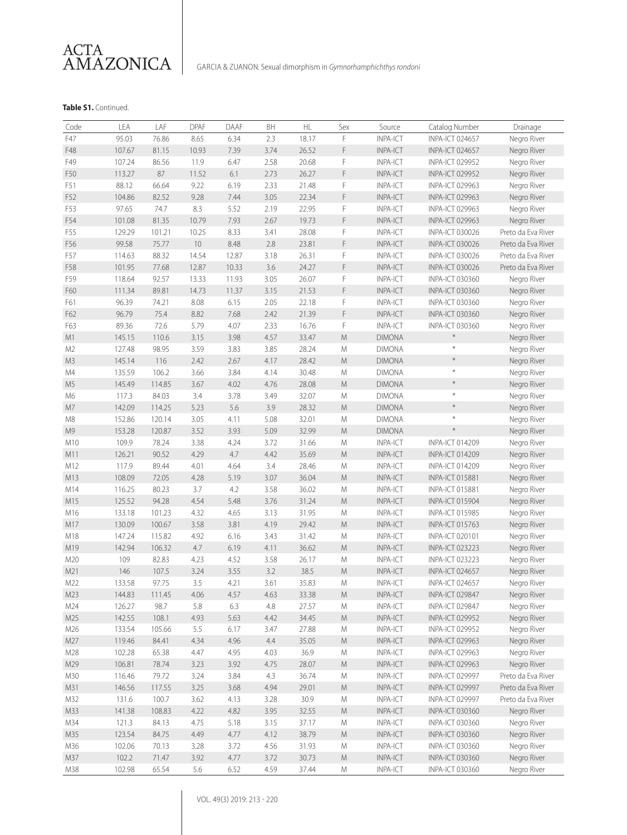

### **Table S1.** Continued.

| F<br>F47<br>95.03<br>76.86<br>8.65<br>6.34<br>2.3<br>18.17<br><b>INPA-ICT</b><br>Negro River<br><b>INPA-ICT 024657</b><br>3.74<br>F<br>F48<br>107.67<br>81.15<br>10.93<br>7.39<br>26.52<br><b>INPA-ICT</b><br><b>INPA-ICT 024657</b><br>Negro River<br>2.58<br>F<br>F49<br>107.24<br>86.56<br>11.9<br>6.47<br>20.68<br><b>INPA-ICT</b><br><b>INPA-ICT 029952</b><br>Negro River<br>F<br>87<br>F50<br>113.27<br>11.52<br>6.1<br>2.73<br>26.27<br><b>INPA-ICT</b><br>Negro River<br><b>INPA-ICT 029952</b><br>F51<br>88.12<br>66.64<br>9.22<br>6.19<br>2.33<br>21.48<br>F<br>INPA-ICT<br><b>INPA-ICT 029963</b><br>Negro River<br>3.05<br>F<br>F52<br>104.86<br>82.52<br>9.28<br>7.44<br>22.34<br><b>INPA-ICT</b><br><b>INPA-ICT 029963</b><br>Negro River<br>F53<br>97.65<br>74.7<br>8.3<br>5.52<br>2.19<br>22.95<br>F<br>INPA-ICT<br>Negro River<br>INPA-ICT 029963<br>F<br>F54<br>101.08<br>81.35<br>10.79<br>7.93<br>2.67<br>19.73<br><b>INPA-ICT</b><br>Negro River<br><b>INPA-ICT 029963</b><br>F55<br>129.29<br>101.21<br>10.25<br>8.33<br>3.41<br>28.08<br>F<br><b>INPA-ICT</b><br>Preto da Eva River<br><b>INPA-ICT 030026</b><br>F<br>99.58<br>10<br>2.8<br>F56<br>75.77<br>8.48<br>23.81<br><b>INPA-ICT</b><br><b>INPA-ICT 030026</b><br>Preto da Eva River<br>F57<br>88.32<br>14.54<br>3.18<br>26.31<br>F<br>INPA-ICT<br>Preto da Eva River<br>114.63<br>12.87<br>INPA-ICT 030026<br>3.6<br>F58<br>101.95<br>77.68<br>12.87<br>10.33<br>24.27<br>F<br><b>INPA-ICT</b><br><b>INPA-ICT 030026</b><br>Preto da Eva River<br>F59<br>92.57<br>13.33<br>3.05<br>26.07<br>F<br>118.64<br>11.93<br><b>INPA-ICT</b><br><b>INPA-ICT 030360</b><br>Negro River<br>F<br>3.15<br>F60<br>111.34<br>89.81<br>14.73<br>11.37<br>21.53<br><b>INPA-ICT</b><br><b>INPA-ICT 030360</b><br>Negro River<br>74.21<br>8.08<br>2.05<br>F<br><b>INPA-ICT</b><br>F61<br>96.39<br>6.15<br>22.18<br><b>INPA-ICT 030360</b><br>Negro River<br>F<br>75.4<br>2.42<br>F62<br>96.79<br>8.82<br>7.68<br>21.39<br><b>INPA-ICT</b><br><b>INPA-ICT 030360</b><br>Negro River<br>5.79<br>2.33<br>F<br>F63<br>89.36<br>72.6<br>4.07<br>16.76<br>INPA-ICT<br><b>INPA-ICT 030360</b><br>Negro River<br>$\star$<br>M1<br>4.57<br>${\sf M}$<br>145.15<br>110.6<br>3.15<br>3.98<br>33.47<br><b>DIMONA</b><br>Negro River<br>$\ast$<br>98.95<br>3.85<br>M <sub>2</sub><br>127.48<br>3.59<br>3.83<br>28.24<br>${\sf M}$<br><b>DIMONA</b><br>Negro River<br>$\ast$<br>M3<br>145.14<br>116<br>4.17<br>28.42<br>${\sf M}$<br>2.42<br>2.67<br><b>DIMONA</b><br>Negro River<br>$\ast$<br>M4<br>135.59<br>106.2<br>3.66<br>3.84<br>4.14<br>30.48<br>${\sf M}$<br><b>DIMONA</b><br>Negro River<br>$\star$<br>M <sub>5</sub><br>145.49<br>114.85<br>3.67<br>4.02<br>4.76<br>28.08<br>${\sf M}$<br><b>DIMONA</b><br>Negro River<br>$\ast$<br>M6<br>117.3<br>84.03<br>3.78<br>3.49<br>Negro River<br>3.4<br>32.07<br>M<br><b>DIMONA</b><br>$\ast$<br>M7<br>5.6<br>3.9<br>${\sf M}$<br>142.09<br>114.25<br>5.23<br>28.32<br><b>DIMONA</b><br>Negro River<br>$\ast$<br>M8<br>152.86<br>120.14<br>3.05<br>4.11<br>5.08<br>32.01<br><b>DIMONA</b><br>Negro River<br>M<br>$\star$<br>M <sub>9</sub><br>153.28<br>120.87<br>3.52<br>3.93<br>5.09<br>32.99<br>M<br><b>DIMONA</b><br>Negro River<br>3.72<br>M10<br>109.9<br>78.24<br>3.38<br>4.24<br>31.66<br>M<br>INPA-ICT<br>INPA-ICT 014209<br>Negro River<br>4.7<br>4.42<br>${\sf M}$<br>M11<br>126.21<br>90.52<br>4.29<br>35.69<br><b>INPA-ICT</b><br>Negro River<br><b>INPA-ICT 014209</b><br>89.44<br>M12<br>117.9<br>4.01<br>4.64<br>3.4<br>28.46<br>M<br>INPA-ICT<br>Negro River<br>INPA-ICT 014209<br>M13<br>108.09<br>3.07<br>36.04<br>${\sf M}$<br>72.05<br>4.28<br>5.19<br><b>INPA-ICT</b><br>Negro River<br><b>INPA-ICT 015881</b><br>M14<br>116.25<br>80.23<br>3.7<br>4.2<br>3.58<br>36.02<br>${\sf M}$<br>INPA-ICT<br>Negro River<br><b>INPA-ICT 015881</b><br>M15<br>94.28<br>4.54<br>3.76<br>31.24<br>${\sf M}$<br>125.52<br>5.48<br><b>INPA-ICT</b><br>Negro River<br><b>INPA-ICT 015904</b><br>M16<br>133.18<br>101.23<br>4.32<br>4.65<br>3.13<br>31.95<br>INPA-ICT<br>М<br><b>INPA-ICT 015985</b><br>Negro River<br>${\sf M}$<br>M17<br>130.09<br>100.67<br>3.58<br>3.81<br>4.19<br>29.42<br><b>INPA-ICT</b><br>Negro River<br><b>INPA-ICT 015763</b><br>M18<br>147.24<br>115.82<br>4.92<br>3.43<br>M<br><b>INPA-ICT</b><br>6.16<br>31.42<br>INPA-ICT 020101<br>Negro River<br>M19<br>142.94<br>106.32<br>4.7<br>6.19<br>4.11<br>36.62<br>${\sf M}$<br><b>INPA-ICT</b><br>Negro River<br><b>INPA-ICT 023223</b><br>M20<br>109<br>82.83<br>4.23<br>4.52<br>3.58<br>INPA-ICT<br>26.17<br>M<br><b>INPA-ICT 023223</b><br>Negro River<br>3.2<br>${\sf M}$<br>M21<br>146<br>107.5<br>3.24<br>3.55<br>38.5<br><b>INPA-ICT</b><br>Negro River<br><b>INPA-ICT 024657</b><br>M22<br>133.58<br>97.75<br>3.5<br>4.21<br>3.61<br>35.83<br>INPA-ICT<br>Negro River<br>М<br>INPA-ICT 024657<br>INPA-ICT 029847<br>M23<br>144.83<br>111.45<br>4.06<br>4.57<br>4.63<br>33.38<br>M<br><b>INPA-ICT</b><br>Negro River<br>M24<br>4.8<br>INPA-ICT<br>Negro River<br>126.27<br>98.7<br>5.8<br>6.3<br>27.57<br>М<br><b>INPA-ICT 029847</b><br>Negro River<br>M25<br>142.55<br>108.1<br>4.93<br>5.63<br>4.42<br>34.45<br>${\sf M}$<br><b>INPA-ICT</b><br><b>INPA-ICT 029952</b><br>M26<br>INPA-ICT<br>Negro River<br>133.54<br>105.66<br>5.5<br>6.17<br>3.47<br>27.88<br>М<br>INPA-ICT 029952<br>Negro River<br>M27<br>119.46<br>84.41<br>4.34<br>4.96<br>4.4<br>35.05<br>${\sf M}$<br>INPA-ICT<br>INPA-ICT 029963<br>Negro River<br>36.9<br>INPA-ICT<br>M28<br>102.28<br>65.38<br>4.47<br>4.95<br>4.03<br>M<br>INPA-ICT 029963<br>M29<br>106.81<br>78.74<br>3.23<br>3.92<br>4.75<br>28.07<br>${\sf M}$<br>INPA-ICT<br>Negro River<br><b>INPA-ICT 029963</b><br>3.24<br>3.84<br>4.3<br>36.74<br>M<br>INPA-ICT<br>Preto da Eva River<br>M30<br>116.46<br>79.72<br>INPA-ICT 029997<br>146.56<br>3.25<br>3.68<br>4.94<br>29.01<br>${\sf M}$<br>INPA-ICT<br>Preto da Eva River<br>M31<br>117.55<br><b>INPA-ICT 029997</b><br>M32<br>131.6<br>100.7<br>3.62<br>4.13<br>3.28<br>30.9<br>INPA-ICT<br>INPA-ICT 029997<br>Preto da Eva River<br>М<br>${\sf M}$<br>M33<br>141.38<br>108.83<br>4.22<br>4.82<br>3.95<br>32.55<br><b>INPA-ICT</b><br><b>INPA-ICT 030360</b><br>Negro River<br>M34<br>4.75<br>37.17<br>INPA-ICT<br>Negro River<br>121.3<br>84.13<br>5.18<br>3.15<br>М<br><b>INPA-ICT 030360</b><br>${\sf M}$<br>Negro River<br>M35<br>123.54<br>84.75<br>4.49<br>4.77<br>4.12<br>38.79<br>INPA-ICT<br><b>INPA-ICT 030360</b><br>Negro River<br>M36<br>102.06<br>70.13<br>3.28<br>3.72<br>4.56<br>31.93<br>M<br><b>INPA-ICT</b><br><b>INPA-ICT 030360</b><br>102.2<br>4.77<br>${\sf M}$<br>Negro River<br>M37<br>71.47<br>3.92<br>3.72<br>30.73<br>INPA-ICT<br>INPA-ICT 030360 | Code | LEA    | LAF   | <b>DPAF</b> | DAAF | BH   | HL    | Sex | Source          | Catalog Number         | Drainage    |
|------------------------------------------------------------------------------------------------------------------------------------------------------------------------------------------------------------------------------------------------------------------------------------------------------------------------------------------------------------------------------------------------------------------------------------------------------------------------------------------------------------------------------------------------------------------------------------------------------------------------------------------------------------------------------------------------------------------------------------------------------------------------------------------------------------------------------------------------------------------------------------------------------------------------------------------------------------------------------------------------------------------------------------------------------------------------------------------------------------------------------------------------------------------------------------------------------------------------------------------------------------------------------------------------------------------------------------------------------------------------------------------------------------------------------------------------------------------------------------------------------------------------------------------------------------------------------------------------------------------------------------------------------------------------------------------------------------------------------------------------------------------------------------------------------------------------------------------------------------------------------------------------------------------------------------------------------------------------------------------------------------------------------------------------------------------------------------------------------------------------------------------------------------------------------------------------------------------------------------------------------------------------------------------------------------------------------------------------------------------------------------------------------------------------------------------------------------------------------------------------------------------------------------------------------------------------------------------------------------------------------------------------------------------------------------------------------------------------------------------------------------------------------------------------------------------------------------------------------------------------------------------------------------------------------------------------------------------------------------------------------------------------------------------------------------------------------------------------------------------------------------------------------------------------------------------------------------------------------------------------------------------------------------------------------------------------------------------------------------------------------------------------------------------------------------------------------------------------------------------------------------------------------------------------------------------------------------------------------------------------------------------------------------------------------------------------------------------------------------------------------------------------------------------------------------------------------------------------------------------------------------------------------------------------------------------------------------------------------------------------------------------------------------------------------------------------------------------------------------------------------------------------------------------------------------------------------------------------------------------------------------------------------------------------------------------------------------------------------------------------------------------------------------------------------------------------------------------------------------------------------------------------------------------------------------------------------------------------------------------------------------------------------------------------------------------------------------------------------------------------------------------------------------------------------------------------------------------------------------------------------------------------------------------------------------------------------------------------------------------------------------------------------------------------------------------------------------------------------------------------------------------------------------------------------------------------------------------------------------------------------------------------------------------------------------------------------------------------------------------------------------------------------------------------------------------------------------------------------------------------------------------------------------------------------------------------------------------------------------------------------------------------------------------------------------------------------------------------------------------------------------------------------------------------------------------------------------------------------------------------------------------------------------------------------------------------------------------------------------------------------------------------------------------------------------------------------------------------------------------------------------------------------------------------------------------------------------------------------------------------------------------------------------------------------------------------------------------------------------------------------------------------------------------------------------------------------------------------------------------------------------------------------------------------------------------------------------------------------------------------------------------------------------------------------------------------------------------------------------------------------------------------|------|--------|-------|-------------|------|------|-------|-----|-----------------|------------------------|-------------|
|                                                                                                                                                                                                                                                                                                                                                                                                                                                                                                                                                                                                                                                                                                                                                                                                                                                                                                                                                                                                                                                                                                                                                                                                                                                                                                                                                                                                                                                                                                                                                                                                                                                                                                                                                                                                                                                                                                                                                                                                                                                                                                                                                                                                                                                                                                                                                                                                                                                                                                                                                                                                                                                                                                                                                                                                                                                                                                                                                                                                                                                                                                                                                                                                                                                                                                                                                                                                                                                                                                                                                                                                                                                                                                                                                                                                                                                                                                                                                                                                                                                                                                                                                                                                                                                                                                                                                                                                                                                                                                                                                                                                                                                                                                                                                                                                                                                                                                                                                                                                                                                                                                                                                                                                                                                                                                                                                                                                                                                                                                                                                                                                                                                                                                                                                                                                                                                                                                                                                                                                                                                                                                                                                                                                                                                                                                                                                                                                                                                                                                                                                                                                                                                                                                                                                                        |      |        |       |             |      |      |       |     |                 |                        |             |
|                                                                                                                                                                                                                                                                                                                                                                                                                                                                                                                                                                                                                                                                                                                                                                                                                                                                                                                                                                                                                                                                                                                                                                                                                                                                                                                                                                                                                                                                                                                                                                                                                                                                                                                                                                                                                                                                                                                                                                                                                                                                                                                                                                                                                                                                                                                                                                                                                                                                                                                                                                                                                                                                                                                                                                                                                                                                                                                                                                                                                                                                                                                                                                                                                                                                                                                                                                                                                                                                                                                                                                                                                                                                                                                                                                                                                                                                                                                                                                                                                                                                                                                                                                                                                                                                                                                                                                                                                                                                                                                                                                                                                                                                                                                                                                                                                                                                                                                                                                                                                                                                                                                                                                                                                                                                                                                                                                                                                                                                                                                                                                                                                                                                                                                                                                                                                                                                                                                                                                                                                                                                                                                                                                                                                                                                                                                                                                                                                                                                                                                                                                                                                                                                                                                                                                        |      |        |       |             |      |      |       |     |                 |                        |             |
|                                                                                                                                                                                                                                                                                                                                                                                                                                                                                                                                                                                                                                                                                                                                                                                                                                                                                                                                                                                                                                                                                                                                                                                                                                                                                                                                                                                                                                                                                                                                                                                                                                                                                                                                                                                                                                                                                                                                                                                                                                                                                                                                                                                                                                                                                                                                                                                                                                                                                                                                                                                                                                                                                                                                                                                                                                                                                                                                                                                                                                                                                                                                                                                                                                                                                                                                                                                                                                                                                                                                                                                                                                                                                                                                                                                                                                                                                                                                                                                                                                                                                                                                                                                                                                                                                                                                                                                                                                                                                                                                                                                                                                                                                                                                                                                                                                                                                                                                                                                                                                                                                                                                                                                                                                                                                                                                                                                                                                                                                                                                                                                                                                                                                                                                                                                                                                                                                                                                                                                                                                                                                                                                                                                                                                                                                                                                                                                                                                                                                                                                                                                                                                                                                                                                                                        |      |        |       |             |      |      |       |     |                 |                        |             |
|                                                                                                                                                                                                                                                                                                                                                                                                                                                                                                                                                                                                                                                                                                                                                                                                                                                                                                                                                                                                                                                                                                                                                                                                                                                                                                                                                                                                                                                                                                                                                                                                                                                                                                                                                                                                                                                                                                                                                                                                                                                                                                                                                                                                                                                                                                                                                                                                                                                                                                                                                                                                                                                                                                                                                                                                                                                                                                                                                                                                                                                                                                                                                                                                                                                                                                                                                                                                                                                                                                                                                                                                                                                                                                                                                                                                                                                                                                                                                                                                                                                                                                                                                                                                                                                                                                                                                                                                                                                                                                                                                                                                                                                                                                                                                                                                                                                                                                                                                                                                                                                                                                                                                                                                                                                                                                                                                                                                                                                                                                                                                                                                                                                                                                                                                                                                                                                                                                                                                                                                                                                                                                                                                                                                                                                                                                                                                                                                                                                                                                                                                                                                                                                                                                                                                                        |      |        |       |             |      |      |       |     |                 |                        |             |
|                                                                                                                                                                                                                                                                                                                                                                                                                                                                                                                                                                                                                                                                                                                                                                                                                                                                                                                                                                                                                                                                                                                                                                                                                                                                                                                                                                                                                                                                                                                                                                                                                                                                                                                                                                                                                                                                                                                                                                                                                                                                                                                                                                                                                                                                                                                                                                                                                                                                                                                                                                                                                                                                                                                                                                                                                                                                                                                                                                                                                                                                                                                                                                                                                                                                                                                                                                                                                                                                                                                                                                                                                                                                                                                                                                                                                                                                                                                                                                                                                                                                                                                                                                                                                                                                                                                                                                                                                                                                                                                                                                                                                                                                                                                                                                                                                                                                                                                                                                                                                                                                                                                                                                                                                                                                                                                                                                                                                                                                                                                                                                                                                                                                                                                                                                                                                                                                                                                                                                                                                                                                                                                                                                                                                                                                                                                                                                                                                                                                                                                                                                                                                                                                                                                                                                        |      |        |       |             |      |      |       |     |                 |                        |             |
|                                                                                                                                                                                                                                                                                                                                                                                                                                                                                                                                                                                                                                                                                                                                                                                                                                                                                                                                                                                                                                                                                                                                                                                                                                                                                                                                                                                                                                                                                                                                                                                                                                                                                                                                                                                                                                                                                                                                                                                                                                                                                                                                                                                                                                                                                                                                                                                                                                                                                                                                                                                                                                                                                                                                                                                                                                                                                                                                                                                                                                                                                                                                                                                                                                                                                                                                                                                                                                                                                                                                                                                                                                                                                                                                                                                                                                                                                                                                                                                                                                                                                                                                                                                                                                                                                                                                                                                                                                                                                                                                                                                                                                                                                                                                                                                                                                                                                                                                                                                                                                                                                                                                                                                                                                                                                                                                                                                                                                                                                                                                                                                                                                                                                                                                                                                                                                                                                                                                                                                                                                                                                                                                                                                                                                                                                                                                                                                                                                                                                                                                                                                                                                                                                                                                                                        |      |        |       |             |      |      |       |     |                 |                        |             |
|                                                                                                                                                                                                                                                                                                                                                                                                                                                                                                                                                                                                                                                                                                                                                                                                                                                                                                                                                                                                                                                                                                                                                                                                                                                                                                                                                                                                                                                                                                                                                                                                                                                                                                                                                                                                                                                                                                                                                                                                                                                                                                                                                                                                                                                                                                                                                                                                                                                                                                                                                                                                                                                                                                                                                                                                                                                                                                                                                                                                                                                                                                                                                                                                                                                                                                                                                                                                                                                                                                                                                                                                                                                                                                                                                                                                                                                                                                                                                                                                                                                                                                                                                                                                                                                                                                                                                                                                                                                                                                                                                                                                                                                                                                                                                                                                                                                                                                                                                                                                                                                                                                                                                                                                                                                                                                                                                                                                                                                                                                                                                                                                                                                                                                                                                                                                                                                                                                                                                                                                                                                                                                                                                                                                                                                                                                                                                                                                                                                                                                                                                                                                                                                                                                                                                                        |      |        |       |             |      |      |       |     |                 |                        |             |
|                                                                                                                                                                                                                                                                                                                                                                                                                                                                                                                                                                                                                                                                                                                                                                                                                                                                                                                                                                                                                                                                                                                                                                                                                                                                                                                                                                                                                                                                                                                                                                                                                                                                                                                                                                                                                                                                                                                                                                                                                                                                                                                                                                                                                                                                                                                                                                                                                                                                                                                                                                                                                                                                                                                                                                                                                                                                                                                                                                                                                                                                                                                                                                                                                                                                                                                                                                                                                                                                                                                                                                                                                                                                                                                                                                                                                                                                                                                                                                                                                                                                                                                                                                                                                                                                                                                                                                                                                                                                                                                                                                                                                                                                                                                                                                                                                                                                                                                                                                                                                                                                                                                                                                                                                                                                                                                                                                                                                                                                                                                                                                                                                                                                                                                                                                                                                                                                                                                                                                                                                                                                                                                                                                                                                                                                                                                                                                                                                                                                                                                                                                                                                                                                                                                                                                        |      |        |       |             |      |      |       |     |                 |                        |             |
|                                                                                                                                                                                                                                                                                                                                                                                                                                                                                                                                                                                                                                                                                                                                                                                                                                                                                                                                                                                                                                                                                                                                                                                                                                                                                                                                                                                                                                                                                                                                                                                                                                                                                                                                                                                                                                                                                                                                                                                                                                                                                                                                                                                                                                                                                                                                                                                                                                                                                                                                                                                                                                                                                                                                                                                                                                                                                                                                                                                                                                                                                                                                                                                                                                                                                                                                                                                                                                                                                                                                                                                                                                                                                                                                                                                                                                                                                                                                                                                                                                                                                                                                                                                                                                                                                                                                                                                                                                                                                                                                                                                                                                                                                                                                                                                                                                                                                                                                                                                                                                                                                                                                                                                                                                                                                                                                                                                                                                                                                                                                                                                                                                                                                                                                                                                                                                                                                                                                                                                                                                                                                                                                                                                                                                                                                                                                                                                                                                                                                                                                                                                                                                                                                                                                                                        |      |        |       |             |      |      |       |     |                 |                        |             |
|                                                                                                                                                                                                                                                                                                                                                                                                                                                                                                                                                                                                                                                                                                                                                                                                                                                                                                                                                                                                                                                                                                                                                                                                                                                                                                                                                                                                                                                                                                                                                                                                                                                                                                                                                                                                                                                                                                                                                                                                                                                                                                                                                                                                                                                                                                                                                                                                                                                                                                                                                                                                                                                                                                                                                                                                                                                                                                                                                                                                                                                                                                                                                                                                                                                                                                                                                                                                                                                                                                                                                                                                                                                                                                                                                                                                                                                                                                                                                                                                                                                                                                                                                                                                                                                                                                                                                                                                                                                                                                                                                                                                                                                                                                                                                                                                                                                                                                                                                                                                                                                                                                                                                                                                                                                                                                                                                                                                                                                                                                                                                                                                                                                                                                                                                                                                                                                                                                                                                                                                                                                                                                                                                                                                                                                                                                                                                                                                                                                                                                                                                                                                                                                                                                                                                                        |      |        |       |             |      |      |       |     |                 |                        |             |
|                                                                                                                                                                                                                                                                                                                                                                                                                                                                                                                                                                                                                                                                                                                                                                                                                                                                                                                                                                                                                                                                                                                                                                                                                                                                                                                                                                                                                                                                                                                                                                                                                                                                                                                                                                                                                                                                                                                                                                                                                                                                                                                                                                                                                                                                                                                                                                                                                                                                                                                                                                                                                                                                                                                                                                                                                                                                                                                                                                                                                                                                                                                                                                                                                                                                                                                                                                                                                                                                                                                                                                                                                                                                                                                                                                                                                                                                                                                                                                                                                                                                                                                                                                                                                                                                                                                                                                                                                                                                                                                                                                                                                                                                                                                                                                                                                                                                                                                                                                                                                                                                                                                                                                                                                                                                                                                                                                                                                                                                                                                                                                                                                                                                                                                                                                                                                                                                                                                                                                                                                                                                                                                                                                                                                                                                                                                                                                                                                                                                                                                                                                                                                                                                                                                                                                        |      |        |       |             |      |      |       |     |                 |                        |             |
|                                                                                                                                                                                                                                                                                                                                                                                                                                                                                                                                                                                                                                                                                                                                                                                                                                                                                                                                                                                                                                                                                                                                                                                                                                                                                                                                                                                                                                                                                                                                                                                                                                                                                                                                                                                                                                                                                                                                                                                                                                                                                                                                                                                                                                                                                                                                                                                                                                                                                                                                                                                                                                                                                                                                                                                                                                                                                                                                                                                                                                                                                                                                                                                                                                                                                                                                                                                                                                                                                                                                                                                                                                                                                                                                                                                                                                                                                                                                                                                                                                                                                                                                                                                                                                                                                                                                                                                                                                                                                                                                                                                                                                                                                                                                                                                                                                                                                                                                                                                                                                                                                                                                                                                                                                                                                                                                                                                                                                                                                                                                                                                                                                                                                                                                                                                                                                                                                                                                                                                                                                                                                                                                                                                                                                                                                                                                                                                                                                                                                                                                                                                                                                                                                                                                                                        |      |        |       |             |      |      |       |     |                 |                        |             |
|                                                                                                                                                                                                                                                                                                                                                                                                                                                                                                                                                                                                                                                                                                                                                                                                                                                                                                                                                                                                                                                                                                                                                                                                                                                                                                                                                                                                                                                                                                                                                                                                                                                                                                                                                                                                                                                                                                                                                                                                                                                                                                                                                                                                                                                                                                                                                                                                                                                                                                                                                                                                                                                                                                                                                                                                                                                                                                                                                                                                                                                                                                                                                                                                                                                                                                                                                                                                                                                                                                                                                                                                                                                                                                                                                                                                                                                                                                                                                                                                                                                                                                                                                                                                                                                                                                                                                                                                                                                                                                                                                                                                                                                                                                                                                                                                                                                                                                                                                                                                                                                                                                                                                                                                                                                                                                                                                                                                                                                                                                                                                                                                                                                                                                                                                                                                                                                                                                                                                                                                                                                                                                                                                                                                                                                                                                                                                                                                                                                                                                                                                                                                                                                                                                                                                                        |      |        |       |             |      |      |       |     |                 |                        |             |
|                                                                                                                                                                                                                                                                                                                                                                                                                                                                                                                                                                                                                                                                                                                                                                                                                                                                                                                                                                                                                                                                                                                                                                                                                                                                                                                                                                                                                                                                                                                                                                                                                                                                                                                                                                                                                                                                                                                                                                                                                                                                                                                                                                                                                                                                                                                                                                                                                                                                                                                                                                                                                                                                                                                                                                                                                                                                                                                                                                                                                                                                                                                                                                                                                                                                                                                                                                                                                                                                                                                                                                                                                                                                                                                                                                                                                                                                                                                                                                                                                                                                                                                                                                                                                                                                                                                                                                                                                                                                                                                                                                                                                                                                                                                                                                                                                                                                                                                                                                                                                                                                                                                                                                                                                                                                                                                                                                                                                                                                                                                                                                                                                                                                                                                                                                                                                                                                                                                                                                                                                                                                                                                                                                                                                                                                                                                                                                                                                                                                                                                                                                                                                                                                                                                                                                        |      |        |       |             |      |      |       |     |                 |                        |             |
|                                                                                                                                                                                                                                                                                                                                                                                                                                                                                                                                                                                                                                                                                                                                                                                                                                                                                                                                                                                                                                                                                                                                                                                                                                                                                                                                                                                                                                                                                                                                                                                                                                                                                                                                                                                                                                                                                                                                                                                                                                                                                                                                                                                                                                                                                                                                                                                                                                                                                                                                                                                                                                                                                                                                                                                                                                                                                                                                                                                                                                                                                                                                                                                                                                                                                                                                                                                                                                                                                                                                                                                                                                                                                                                                                                                                                                                                                                                                                                                                                                                                                                                                                                                                                                                                                                                                                                                                                                                                                                                                                                                                                                                                                                                                                                                                                                                                                                                                                                                                                                                                                                                                                                                                                                                                                                                                                                                                                                                                                                                                                                                                                                                                                                                                                                                                                                                                                                                                                                                                                                                                                                                                                                                                                                                                                                                                                                                                                                                                                                                                                                                                                                                                                                                                                                        |      |        |       |             |      |      |       |     |                 |                        |             |
|                                                                                                                                                                                                                                                                                                                                                                                                                                                                                                                                                                                                                                                                                                                                                                                                                                                                                                                                                                                                                                                                                                                                                                                                                                                                                                                                                                                                                                                                                                                                                                                                                                                                                                                                                                                                                                                                                                                                                                                                                                                                                                                                                                                                                                                                                                                                                                                                                                                                                                                                                                                                                                                                                                                                                                                                                                                                                                                                                                                                                                                                                                                                                                                                                                                                                                                                                                                                                                                                                                                                                                                                                                                                                                                                                                                                                                                                                                                                                                                                                                                                                                                                                                                                                                                                                                                                                                                                                                                                                                                                                                                                                                                                                                                                                                                                                                                                                                                                                                                                                                                                                                                                                                                                                                                                                                                                                                                                                                                                                                                                                                                                                                                                                                                                                                                                                                                                                                                                                                                                                                                                                                                                                                                                                                                                                                                                                                                                                                                                                                                                                                                                                                                                                                                                                                        |      |        |       |             |      |      |       |     |                 |                        |             |
|                                                                                                                                                                                                                                                                                                                                                                                                                                                                                                                                                                                                                                                                                                                                                                                                                                                                                                                                                                                                                                                                                                                                                                                                                                                                                                                                                                                                                                                                                                                                                                                                                                                                                                                                                                                                                                                                                                                                                                                                                                                                                                                                                                                                                                                                                                                                                                                                                                                                                                                                                                                                                                                                                                                                                                                                                                                                                                                                                                                                                                                                                                                                                                                                                                                                                                                                                                                                                                                                                                                                                                                                                                                                                                                                                                                                                                                                                                                                                                                                                                                                                                                                                                                                                                                                                                                                                                                                                                                                                                                                                                                                                                                                                                                                                                                                                                                                                                                                                                                                                                                                                                                                                                                                                                                                                                                                                                                                                                                                                                                                                                                                                                                                                                                                                                                                                                                                                                                                                                                                                                                                                                                                                                                                                                                                                                                                                                                                                                                                                                                                                                                                                                                                                                                                                                        |      |        |       |             |      |      |       |     |                 |                        |             |
|                                                                                                                                                                                                                                                                                                                                                                                                                                                                                                                                                                                                                                                                                                                                                                                                                                                                                                                                                                                                                                                                                                                                                                                                                                                                                                                                                                                                                                                                                                                                                                                                                                                                                                                                                                                                                                                                                                                                                                                                                                                                                                                                                                                                                                                                                                                                                                                                                                                                                                                                                                                                                                                                                                                                                                                                                                                                                                                                                                                                                                                                                                                                                                                                                                                                                                                                                                                                                                                                                                                                                                                                                                                                                                                                                                                                                                                                                                                                                                                                                                                                                                                                                                                                                                                                                                                                                                                                                                                                                                                                                                                                                                                                                                                                                                                                                                                                                                                                                                                                                                                                                                                                                                                                                                                                                                                                                                                                                                                                                                                                                                                                                                                                                                                                                                                                                                                                                                                                                                                                                                                                                                                                                                                                                                                                                                                                                                                                                                                                                                                                                                                                                                                                                                                                                                        |      |        |       |             |      |      |       |     |                 |                        |             |
|                                                                                                                                                                                                                                                                                                                                                                                                                                                                                                                                                                                                                                                                                                                                                                                                                                                                                                                                                                                                                                                                                                                                                                                                                                                                                                                                                                                                                                                                                                                                                                                                                                                                                                                                                                                                                                                                                                                                                                                                                                                                                                                                                                                                                                                                                                                                                                                                                                                                                                                                                                                                                                                                                                                                                                                                                                                                                                                                                                                                                                                                                                                                                                                                                                                                                                                                                                                                                                                                                                                                                                                                                                                                                                                                                                                                                                                                                                                                                                                                                                                                                                                                                                                                                                                                                                                                                                                                                                                                                                                                                                                                                                                                                                                                                                                                                                                                                                                                                                                                                                                                                                                                                                                                                                                                                                                                                                                                                                                                                                                                                                                                                                                                                                                                                                                                                                                                                                                                                                                                                                                                                                                                                                                                                                                                                                                                                                                                                                                                                                                                                                                                                                                                                                                                                                        |      |        |       |             |      |      |       |     |                 |                        |             |
|                                                                                                                                                                                                                                                                                                                                                                                                                                                                                                                                                                                                                                                                                                                                                                                                                                                                                                                                                                                                                                                                                                                                                                                                                                                                                                                                                                                                                                                                                                                                                                                                                                                                                                                                                                                                                                                                                                                                                                                                                                                                                                                                                                                                                                                                                                                                                                                                                                                                                                                                                                                                                                                                                                                                                                                                                                                                                                                                                                                                                                                                                                                                                                                                                                                                                                                                                                                                                                                                                                                                                                                                                                                                                                                                                                                                                                                                                                                                                                                                                                                                                                                                                                                                                                                                                                                                                                                                                                                                                                                                                                                                                                                                                                                                                                                                                                                                                                                                                                                                                                                                                                                                                                                                                                                                                                                                                                                                                                                                                                                                                                                                                                                                                                                                                                                                                                                                                                                                                                                                                                                                                                                                                                                                                                                                                                                                                                                                                                                                                                                                                                                                                                                                                                                                                                        |      |        |       |             |      |      |       |     |                 |                        |             |
|                                                                                                                                                                                                                                                                                                                                                                                                                                                                                                                                                                                                                                                                                                                                                                                                                                                                                                                                                                                                                                                                                                                                                                                                                                                                                                                                                                                                                                                                                                                                                                                                                                                                                                                                                                                                                                                                                                                                                                                                                                                                                                                                                                                                                                                                                                                                                                                                                                                                                                                                                                                                                                                                                                                                                                                                                                                                                                                                                                                                                                                                                                                                                                                                                                                                                                                                                                                                                                                                                                                                                                                                                                                                                                                                                                                                                                                                                                                                                                                                                                                                                                                                                                                                                                                                                                                                                                                                                                                                                                                                                                                                                                                                                                                                                                                                                                                                                                                                                                                                                                                                                                                                                                                                                                                                                                                                                                                                                                                                                                                                                                                                                                                                                                                                                                                                                                                                                                                                                                                                                                                                                                                                                                                                                                                                                                                                                                                                                                                                                                                                                                                                                                                                                                                                                                        |      |        |       |             |      |      |       |     |                 |                        |             |
|                                                                                                                                                                                                                                                                                                                                                                                                                                                                                                                                                                                                                                                                                                                                                                                                                                                                                                                                                                                                                                                                                                                                                                                                                                                                                                                                                                                                                                                                                                                                                                                                                                                                                                                                                                                                                                                                                                                                                                                                                                                                                                                                                                                                                                                                                                                                                                                                                                                                                                                                                                                                                                                                                                                                                                                                                                                                                                                                                                                                                                                                                                                                                                                                                                                                                                                                                                                                                                                                                                                                                                                                                                                                                                                                                                                                                                                                                                                                                                                                                                                                                                                                                                                                                                                                                                                                                                                                                                                                                                                                                                                                                                                                                                                                                                                                                                                                                                                                                                                                                                                                                                                                                                                                                                                                                                                                                                                                                                                                                                                                                                                                                                                                                                                                                                                                                                                                                                                                                                                                                                                                                                                                                                                                                                                                                                                                                                                                                                                                                                                                                                                                                                                                                                                                                                        |      |        |       |             |      |      |       |     |                 |                        |             |
|                                                                                                                                                                                                                                                                                                                                                                                                                                                                                                                                                                                                                                                                                                                                                                                                                                                                                                                                                                                                                                                                                                                                                                                                                                                                                                                                                                                                                                                                                                                                                                                                                                                                                                                                                                                                                                                                                                                                                                                                                                                                                                                                                                                                                                                                                                                                                                                                                                                                                                                                                                                                                                                                                                                                                                                                                                                                                                                                                                                                                                                                                                                                                                                                                                                                                                                                                                                                                                                                                                                                                                                                                                                                                                                                                                                                                                                                                                                                                                                                                                                                                                                                                                                                                                                                                                                                                                                                                                                                                                                                                                                                                                                                                                                                                                                                                                                                                                                                                                                                                                                                                                                                                                                                                                                                                                                                                                                                                                                                                                                                                                                                                                                                                                                                                                                                                                                                                                                                                                                                                                                                                                                                                                                                                                                                                                                                                                                                                                                                                                                                                                                                                                                                                                                                                                        |      |        |       |             |      |      |       |     |                 |                        |             |
|                                                                                                                                                                                                                                                                                                                                                                                                                                                                                                                                                                                                                                                                                                                                                                                                                                                                                                                                                                                                                                                                                                                                                                                                                                                                                                                                                                                                                                                                                                                                                                                                                                                                                                                                                                                                                                                                                                                                                                                                                                                                                                                                                                                                                                                                                                                                                                                                                                                                                                                                                                                                                                                                                                                                                                                                                                                                                                                                                                                                                                                                                                                                                                                                                                                                                                                                                                                                                                                                                                                                                                                                                                                                                                                                                                                                                                                                                                                                                                                                                                                                                                                                                                                                                                                                                                                                                                                                                                                                                                                                                                                                                                                                                                                                                                                                                                                                                                                                                                                                                                                                                                                                                                                                                                                                                                                                                                                                                                                                                                                                                                                                                                                                                                                                                                                                                                                                                                                                                                                                                                                                                                                                                                                                                                                                                                                                                                                                                                                                                                                                                                                                                                                                                                                                                                        |      |        |       |             |      |      |       |     |                 |                        |             |
|                                                                                                                                                                                                                                                                                                                                                                                                                                                                                                                                                                                                                                                                                                                                                                                                                                                                                                                                                                                                                                                                                                                                                                                                                                                                                                                                                                                                                                                                                                                                                                                                                                                                                                                                                                                                                                                                                                                                                                                                                                                                                                                                                                                                                                                                                                                                                                                                                                                                                                                                                                                                                                                                                                                                                                                                                                                                                                                                                                                                                                                                                                                                                                                                                                                                                                                                                                                                                                                                                                                                                                                                                                                                                                                                                                                                                                                                                                                                                                                                                                                                                                                                                                                                                                                                                                                                                                                                                                                                                                                                                                                                                                                                                                                                                                                                                                                                                                                                                                                                                                                                                                                                                                                                                                                                                                                                                                                                                                                                                                                                                                                                                                                                                                                                                                                                                                                                                                                                                                                                                                                                                                                                                                                                                                                                                                                                                                                                                                                                                                                                                                                                                                                                                                                                                                        |      |        |       |             |      |      |       |     |                 |                        |             |
|                                                                                                                                                                                                                                                                                                                                                                                                                                                                                                                                                                                                                                                                                                                                                                                                                                                                                                                                                                                                                                                                                                                                                                                                                                                                                                                                                                                                                                                                                                                                                                                                                                                                                                                                                                                                                                                                                                                                                                                                                                                                                                                                                                                                                                                                                                                                                                                                                                                                                                                                                                                                                                                                                                                                                                                                                                                                                                                                                                                                                                                                                                                                                                                                                                                                                                                                                                                                                                                                                                                                                                                                                                                                                                                                                                                                                                                                                                                                                                                                                                                                                                                                                                                                                                                                                                                                                                                                                                                                                                                                                                                                                                                                                                                                                                                                                                                                                                                                                                                                                                                                                                                                                                                                                                                                                                                                                                                                                                                                                                                                                                                                                                                                                                                                                                                                                                                                                                                                                                                                                                                                                                                                                                                                                                                                                                                                                                                                                                                                                                                                                                                                                                                                                                                                                                        |      |        |       |             |      |      |       |     |                 |                        |             |
|                                                                                                                                                                                                                                                                                                                                                                                                                                                                                                                                                                                                                                                                                                                                                                                                                                                                                                                                                                                                                                                                                                                                                                                                                                                                                                                                                                                                                                                                                                                                                                                                                                                                                                                                                                                                                                                                                                                                                                                                                                                                                                                                                                                                                                                                                                                                                                                                                                                                                                                                                                                                                                                                                                                                                                                                                                                                                                                                                                                                                                                                                                                                                                                                                                                                                                                                                                                                                                                                                                                                                                                                                                                                                                                                                                                                                                                                                                                                                                                                                                                                                                                                                                                                                                                                                                                                                                                                                                                                                                                                                                                                                                                                                                                                                                                                                                                                                                                                                                                                                                                                                                                                                                                                                                                                                                                                                                                                                                                                                                                                                                                                                                                                                                                                                                                                                                                                                                                                                                                                                                                                                                                                                                                                                                                                                                                                                                                                                                                                                                                                                                                                                                                                                                                                                                        |      |        |       |             |      |      |       |     |                 |                        |             |
|                                                                                                                                                                                                                                                                                                                                                                                                                                                                                                                                                                                                                                                                                                                                                                                                                                                                                                                                                                                                                                                                                                                                                                                                                                                                                                                                                                                                                                                                                                                                                                                                                                                                                                                                                                                                                                                                                                                                                                                                                                                                                                                                                                                                                                                                                                                                                                                                                                                                                                                                                                                                                                                                                                                                                                                                                                                                                                                                                                                                                                                                                                                                                                                                                                                                                                                                                                                                                                                                                                                                                                                                                                                                                                                                                                                                                                                                                                                                                                                                                                                                                                                                                                                                                                                                                                                                                                                                                                                                                                                                                                                                                                                                                                                                                                                                                                                                                                                                                                                                                                                                                                                                                                                                                                                                                                                                                                                                                                                                                                                                                                                                                                                                                                                                                                                                                                                                                                                                                                                                                                                                                                                                                                                                                                                                                                                                                                                                                                                                                                                                                                                                                                                                                                                                                                        |      |        |       |             |      |      |       |     |                 |                        |             |
|                                                                                                                                                                                                                                                                                                                                                                                                                                                                                                                                                                                                                                                                                                                                                                                                                                                                                                                                                                                                                                                                                                                                                                                                                                                                                                                                                                                                                                                                                                                                                                                                                                                                                                                                                                                                                                                                                                                                                                                                                                                                                                                                                                                                                                                                                                                                                                                                                                                                                                                                                                                                                                                                                                                                                                                                                                                                                                                                                                                                                                                                                                                                                                                                                                                                                                                                                                                                                                                                                                                                                                                                                                                                                                                                                                                                                                                                                                                                                                                                                                                                                                                                                                                                                                                                                                                                                                                                                                                                                                                                                                                                                                                                                                                                                                                                                                                                                                                                                                                                                                                                                                                                                                                                                                                                                                                                                                                                                                                                                                                                                                                                                                                                                                                                                                                                                                                                                                                                                                                                                                                                                                                                                                                                                                                                                                                                                                                                                                                                                                                                                                                                                                                                                                                                                                        |      |        |       |             |      |      |       |     |                 |                        |             |
|                                                                                                                                                                                                                                                                                                                                                                                                                                                                                                                                                                                                                                                                                                                                                                                                                                                                                                                                                                                                                                                                                                                                                                                                                                                                                                                                                                                                                                                                                                                                                                                                                                                                                                                                                                                                                                                                                                                                                                                                                                                                                                                                                                                                                                                                                                                                                                                                                                                                                                                                                                                                                                                                                                                                                                                                                                                                                                                                                                                                                                                                                                                                                                                                                                                                                                                                                                                                                                                                                                                                                                                                                                                                                                                                                                                                                                                                                                                                                                                                                                                                                                                                                                                                                                                                                                                                                                                                                                                                                                                                                                                                                                                                                                                                                                                                                                                                                                                                                                                                                                                                                                                                                                                                                                                                                                                                                                                                                                                                                                                                                                                                                                                                                                                                                                                                                                                                                                                                                                                                                                                                                                                                                                                                                                                                                                                                                                                                                                                                                                                                                                                                                                                                                                                                                                        |      |        |       |             |      |      |       |     |                 |                        |             |
|                                                                                                                                                                                                                                                                                                                                                                                                                                                                                                                                                                                                                                                                                                                                                                                                                                                                                                                                                                                                                                                                                                                                                                                                                                                                                                                                                                                                                                                                                                                                                                                                                                                                                                                                                                                                                                                                                                                                                                                                                                                                                                                                                                                                                                                                                                                                                                                                                                                                                                                                                                                                                                                                                                                                                                                                                                                                                                                                                                                                                                                                                                                                                                                                                                                                                                                                                                                                                                                                                                                                                                                                                                                                                                                                                                                                                                                                                                                                                                                                                                                                                                                                                                                                                                                                                                                                                                                                                                                                                                                                                                                                                                                                                                                                                                                                                                                                                                                                                                                                                                                                                                                                                                                                                                                                                                                                                                                                                                                                                                                                                                                                                                                                                                                                                                                                                                                                                                                                                                                                                                                                                                                                                                                                                                                                                                                                                                                                                                                                                                                                                                                                                                                                                                                                                                        |      |        |       |             |      |      |       |     |                 |                        |             |
|                                                                                                                                                                                                                                                                                                                                                                                                                                                                                                                                                                                                                                                                                                                                                                                                                                                                                                                                                                                                                                                                                                                                                                                                                                                                                                                                                                                                                                                                                                                                                                                                                                                                                                                                                                                                                                                                                                                                                                                                                                                                                                                                                                                                                                                                                                                                                                                                                                                                                                                                                                                                                                                                                                                                                                                                                                                                                                                                                                                                                                                                                                                                                                                                                                                                                                                                                                                                                                                                                                                                                                                                                                                                                                                                                                                                                                                                                                                                                                                                                                                                                                                                                                                                                                                                                                                                                                                                                                                                                                                                                                                                                                                                                                                                                                                                                                                                                                                                                                                                                                                                                                                                                                                                                                                                                                                                                                                                                                                                                                                                                                                                                                                                                                                                                                                                                                                                                                                                                                                                                                                                                                                                                                                                                                                                                                                                                                                                                                                                                                                                                                                                                                                                                                                                                                        |      |        |       |             |      |      |       |     |                 |                        |             |
|                                                                                                                                                                                                                                                                                                                                                                                                                                                                                                                                                                                                                                                                                                                                                                                                                                                                                                                                                                                                                                                                                                                                                                                                                                                                                                                                                                                                                                                                                                                                                                                                                                                                                                                                                                                                                                                                                                                                                                                                                                                                                                                                                                                                                                                                                                                                                                                                                                                                                                                                                                                                                                                                                                                                                                                                                                                                                                                                                                                                                                                                                                                                                                                                                                                                                                                                                                                                                                                                                                                                                                                                                                                                                                                                                                                                                                                                                                                                                                                                                                                                                                                                                                                                                                                                                                                                                                                                                                                                                                                                                                                                                                                                                                                                                                                                                                                                                                                                                                                                                                                                                                                                                                                                                                                                                                                                                                                                                                                                                                                                                                                                                                                                                                                                                                                                                                                                                                                                                                                                                                                                                                                                                                                                                                                                                                                                                                                                                                                                                                                                                                                                                                                                                                                                                                        |      |        |       |             |      |      |       |     |                 |                        |             |
|                                                                                                                                                                                                                                                                                                                                                                                                                                                                                                                                                                                                                                                                                                                                                                                                                                                                                                                                                                                                                                                                                                                                                                                                                                                                                                                                                                                                                                                                                                                                                                                                                                                                                                                                                                                                                                                                                                                                                                                                                                                                                                                                                                                                                                                                                                                                                                                                                                                                                                                                                                                                                                                                                                                                                                                                                                                                                                                                                                                                                                                                                                                                                                                                                                                                                                                                                                                                                                                                                                                                                                                                                                                                                                                                                                                                                                                                                                                                                                                                                                                                                                                                                                                                                                                                                                                                                                                                                                                                                                                                                                                                                                                                                                                                                                                                                                                                                                                                                                                                                                                                                                                                                                                                                                                                                                                                                                                                                                                                                                                                                                                                                                                                                                                                                                                                                                                                                                                                                                                                                                                                                                                                                                                                                                                                                                                                                                                                                                                                                                                                                                                                                                                                                                                                                                        |      |        |       |             |      |      |       |     |                 |                        |             |
|                                                                                                                                                                                                                                                                                                                                                                                                                                                                                                                                                                                                                                                                                                                                                                                                                                                                                                                                                                                                                                                                                                                                                                                                                                                                                                                                                                                                                                                                                                                                                                                                                                                                                                                                                                                                                                                                                                                                                                                                                                                                                                                                                                                                                                                                                                                                                                                                                                                                                                                                                                                                                                                                                                                                                                                                                                                                                                                                                                                                                                                                                                                                                                                                                                                                                                                                                                                                                                                                                                                                                                                                                                                                                                                                                                                                                                                                                                                                                                                                                                                                                                                                                                                                                                                                                                                                                                                                                                                                                                                                                                                                                                                                                                                                                                                                                                                                                                                                                                                                                                                                                                                                                                                                                                                                                                                                                                                                                                                                                                                                                                                                                                                                                                                                                                                                                                                                                                                                                                                                                                                                                                                                                                                                                                                                                                                                                                                                                                                                                                                                                                                                                                                                                                                                                                        |      |        |       |             |      |      |       |     |                 |                        |             |
|                                                                                                                                                                                                                                                                                                                                                                                                                                                                                                                                                                                                                                                                                                                                                                                                                                                                                                                                                                                                                                                                                                                                                                                                                                                                                                                                                                                                                                                                                                                                                                                                                                                                                                                                                                                                                                                                                                                                                                                                                                                                                                                                                                                                                                                                                                                                                                                                                                                                                                                                                                                                                                                                                                                                                                                                                                                                                                                                                                                                                                                                                                                                                                                                                                                                                                                                                                                                                                                                                                                                                                                                                                                                                                                                                                                                                                                                                                                                                                                                                                                                                                                                                                                                                                                                                                                                                                                                                                                                                                                                                                                                                                                                                                                                                                                                                                                                                                                                                                                                                                                                                                                                                                                                                                                                                                                                                                                                                                                                                                                                                                                                                                                                                                                                                                                                                                                                                                                                                                                                                                                                                                                                                                                                                                                                                                                                                                                                                                                                                                                                                                                                                                                                                                                                                                        |      |        |       |             |      |      |       |     |                 |                        |             |
|                                                                                                                                                                                                                                                                                                                                                                                                                                                                                                                                                                                                                                                                                                                                                                                                                                                                                                                                                                                                                                                                                                                                                                                                                                                                                                                                                                                                                                                                                                                                                                                                                                                                                                                                                                                                                                                                                                                                                                                                                                                                                                                                                                                                                                                                                                                                                                                                                                                                                                                                                                                                                                                                                                                                                                                                                                                                                                                                                                                                                                                                                                                                                                                                                                                                                                                                                                                                                                                                                                                                                                                                                                                                                                                                                                                                                                                                                                                                                                                                                                                                                                                                                                                                                                                                                                                                                                                                                                                                                                                                                                                                                                                                                                                                                                                                                                                                                                                                                                                                                                                                                                                                                                                                                                                                                                                                                                                                                                                                                                                                                                                                                                                                                                                                                                                                                                                                                                                                                                                                                                                                                                                                                                                                                                                                                                                                                                                                                                                                                                                                                                                                                                                                                                                                                                        |      |        |       |             |      |      |       |     |                 |                        |             |
|                                                                                                                                                                                                                                                                                                                                                                                                                                                                                                                                                                                                                                                                                                                                                                                                                                                                                                                                                                                                                                                                                                                                                                                                                                                                                                                                                                                                                                                                                                                                                                                                                                                                                                                                                                                                                                                                                                                                                                                                                                                                                                                                                                                                                                                                                                                                                                                                                                                                                                                                                                                                                                                                                                                                                                                                                                                                                                                                                                                                                                                                                                                                                                                                                                                                                                                                                                                                                                                                                                                                                                                                                                                                                                                                                                                                                                                                                                                                                                                                                                                                                                                                                                                                                                                                                                                                                                                                                                                                                                                                                                                                                                                                                                                                                                                                                                                                                                                                                                                                                                                                                                                                                                                                                                                                                                                                                                                                                                                                                                                                                                                                                                                                                                                                                                                                                                                                                                                                                                                                                                                                                                                                                                                                                                                                                                                                                                                                                                                                                                                                                                                                                                                                                                                                                                        |      |        |       |             |      |      |       |     |                 |                        |             |
|                                                                                                                                                                                                                                                                                                                                                                                                                                                                                                                                                                                                                                                                                                                                                                                                                                                                                                                                                                                                                                                                                                                                                                                                                                                                                                                                                                                                                                                                                                                                                                                                                                                                                                                                                                                                                                                                                                                                                                                                                                                                                                                                                                                                                                                                                                                                                                                                                                                                                                                                                                                                                                                                                                                                                                                                                                                                                                                                                                                                                                                                                                                                                                                                                                                                                                                                                                                                                                                                                                                                                                                                                                                                                                                                                                                                                                                                                                                                                                                                                                                                                                                                                                                                                                                                                                                                                                                                                                                                                                                                                                                                                                                                                                                                                                                                                                                                                                                                                                                                                                                                                                                                                                                                                                                                                                                                                                                                                                                                                                                                                                                                                                                                                                                                                                                                                                                                                                                                                                                                                                                                                                                                                                                                                                                                                                                                                                                                                                                                                                                                                                                                                                                                                                                                                                        |      |        |       |             |      |      |       |     |                 |                        |             |
|                                                                                                                                                                                                                                                                                                                                                                                                                                                                                                                                                                                                                                                                                                                                                                                                                                                                                                                                                                                                                                                                                                                                                                                                                                                                                                                                                                                                                                                                                                                                                                                                                                                                                                                                                                                                                                                                                                                                                                                                                                                                                                                                                                                                                                                                                                                                                                                                                                                                                                                                                                                                                                                                                                                                                                                                                                                                                                                                                                                                                                                                                                                                                                                                                                                                                                                                                                                                                                                                                                                                                                                                                                                                                                                                                                                                                                                                                                                                                                                                                                                                                                                                                                                                                                                                                                                                                                                                                                                                                                                                                                                                                                                                                                                                                                                                                                                                                                                                                                                                                                                                                                                                                                                                                                                                                                                                                                                                                                                                                                                                                                                                                                                                                                                                                                                                                                                                                                                                                                                                                                                                                                                                                                                                                                                                                                                                                                                                                                                                                                                                                                                                                                                                                                                                                                        |      |        |       |             |      |      |       |     |                 |                        |             |
|                                                                                                                                                                                                                                                                                                                                                                                                                                                                                                                                                                                                                                                                                                                                                                                                                                                                                                                                                                                                                                                                                                                                                                                                                                                                                                                                                                                                                                                                                                                                                                                                                                                                                                                                                                                                                                                                                                                                                                                                                                                                                                                                                                                                                                                                                                                                                                                                                                                                                                                                                                                                                                                                                                                                                                                                                                                                                                                                                                                                                                                                                                                                                                                                                                                                                                                                                                                                                                                                                                                                                                                                                                                                                                                                                                                                                                                                                                                                                                                                                                                                                                                                                                                                                                                                                                                                                                                                                                                                                                                                                                                                                                                                                                                                                                                                                                                                                                                                                                                                                                                                                                                                                                                                                                                                                                                                                                                                                                                                                                                                                                                                                                                                                                                                                                                                                                                                                                                                                                                                                                                                                                                                                                                                                                                                                                                                                                                                                                                                                                                                                                                                                                                                                                                                                                        |      |        |       |             |      |      |       |     |                 |                        |             |
|                                                                                                                                                                                                                                                                                                                                                                                                                                                                                                                                                                                                                                                                                                                                                                                                                                                                                                                                                                                                                                                                                                                                                                                                                                                                                                                                                                                                                                                                                                                                                                                                                                                                                                                                                                                                                                                                                                                                                                                                                                                                                                                                                                                                                                                                                                                                                                                                                                                                                                                                                                                                                                                                                                                                                                                                                                                                                                                                                                                                                                                                                                                                                                                                                                                                                                                                                                                                                                                                                                                                                                                                                                                                                                                                                                                                                                                                                                                                                                                                                                                                                                                                                                                                                                                                                                                                                                                                                                                                                                                                                                                                                                                                                                                                                                                                                                                                                                                                                                                                                                                                                                                                                                                                                                                                                                                                                                                                                                                                                                                                                                                                                                                                                                                                                                                                                                                                                                                                                                                                                                                                                                                                                                                                                                                                                                                                                                                                                                                                                                                                                                                                                                                                                                                                                                        |      |        |       |             |      |      |       |     |                 |                        |             |
|                                                                                                                                                                                                                                                                                                                                                                                                                                                                                                                                                                                                                                                                                                                                                                                                                                                                                                                                                                                                                                                                                                                                                                                                                                                                                                                                                                                                                                                                                                                                                                                                                                                                                                                                                                                                                                                                                                                                                                                                                                                                                                                                                                                                                                                                                                                                                                                                                                                                                                                                                                                                                                                                                                                                                                                                                                                                                                                                                                                                                                                                                                                                                                                                                                                                                                                                                                                                                                                                                                                                                                                                                                                                                                                                                                                                                                                                                                                                                                                                                                                                                                                                                                                                                                                                                                                                                                                                                                                                                                                                                                                                                                                                                                                                                                                                                                                                                                                                                                                                                                                                                                                                                                                                                                                                                                                                                                                                                                                                                                                                                                                                                                                                                                                                                                                                                                                                                                                                                                                                                                                                                                                                                                                                                                                                                                                                                                                                                                                                                                                                                                                                                                                                                                                                                                        |      |        |       |             |      |      |       |     |                 |                        |             |
|                                                                                                                                                                                                                                                                                                                                                                                                                                                                                                                                                                                                                                                                                                                                                                                                                                                                                                                                                                                                                                                                                                                                                                                                                                                                                                                                                                                                                                                                                                                                                                                                                                                                                                                                                                                                                                                                                                                                                                                                                                                                                                                                                                                                                                                                                                                                                                                                                                                                                                                                                                                                                                                                                                                                                                                                                                                                                                                                                                                                                                                                                                                                                                                                                                                                                                                                                                                                                                                                                                                                                                                                                                                                                                                                                                                                                                                                                                                                                                                                                                                                                                                                                                                                                                                                                                                                                                                                                                                                                                                                                                                                                                                                                                                                                                                                                                                                                                                                                                                                                                                                                                                                                                                                                                                                                                                                                                                                                                                                                                                                                                                                                                                                                                                                                                                                                                                                                                                                                                                                                                                                                                                                                                                                                                                                                                                                                                                                                                                                                                                                                                                                                                                                                                                                                                        |      |        |       |             |      |      |       |     |                 |                        |             |
|                                                                                                                                                                                                                                                                                                                                                                                                                                                                                                                                                                                                                                                                                                                                                                                                                                                                                                                                                                                                                                                                                                                                                                                                                                                                                                                                                                                                                                                                                                                                                                                                                                                                                                                                                                                                                                                                                                                                                                                                                                                                                                                                                                                                                                                                                                                                                                                                                                                                                                                                                                                                                                                                                                                                                                                                                                                                                                                                                                                                                                                                                                                                                                                                                                                                                                                                                                                                                                                                                                                                                                                                                                                                                                                                                                                                                                                                                                                                                                                                                                                                                                                                                                                                                                                                                                                                                                                                                                                                                                                                                                                                                                                                                                                                                                                                                                                                                                                                                                                                                                                                                                                                                                                                                                                                                                                                                                                                                                                                                                                                                                                                                                                                                                                                                                                                                                                                                                                                                                                                                                                                                                                                                                                                                                                                                                                                                                                                                                                                                                                                                                                                                                                                                                                                                                        |      |        |       |             |      |      |       |     |                 |                        |             |
|                                                                                                                                                                                                                                                                                                                                                                                                                                                                                                                                                                                                                                                                                                                                                                                                                                                                                                                                                                                                                                                                                                                                                                                                                                                                                                                                                                                                                                                                                                                                                                                                                                                                                                                                                                                                                                                                                                                                                                                                                                                                                                                                                                                                                                                                                                                                                                                                                                                                                                                                                                                                                                                                                                                                                                                                                                                                                                                                                                                                                                                                                                                                                                                                                                                                                                                                                                                                                                                                                                                                                                                                                                                                                                                                                                                                                                                                                                                                                                                                                                                                                                                                                                                                                                                                                                                                                                                                                                                                                                                                                                                                                                                                                                                                                                                                                                                                                                                                                                                                                                                                                                                                                                                                                                                                                                                                                                                                                                                                                                                                                                                                                                                                                                                                                                                                                                                                                                                                                                                                                                                                                                                                                                                                                                                                                                                                                                                                                                                                                                                                                                                                                                                                                                                                                                        |      |        |       |             |      |      |       |     |                 |                        |             |
|                                                                                                                                                                                                                                                                                                                                                                                                                                                                                                                                                                                                                                                                                                                                                                                                                                                                                                                                                                                                                                                                                                                                                                                                                                                                                                                                                                                                                                                                                                                                                                                                                                                                                                                                                                                                                                                                                                                                                                                                                                                                                                                                                                                                                                                                                                                                                                                                                                                                                                                                                                                                                                                                                                                                                                                                                                                                                                                                                                                                                                                                                                                                                                                                                                                                                                                                                                                                                                                                                                                                                                                                                                                                                                                                                                                                                                                                                                                                                                                                                                                                                                                                                                                                                                                                                                                                                                                                                                                                                                                                                                                                                                                                                                                                                                                                                                                                                                                                                                                                                                                                                                                                                                                                                                                                                                                                                                                                                                                                                                                                                                                                                                                                                                                                                                                                                                                                                                                                                                                                                                                                                                                                                                                                                                                                                                                                                                                                                                                                                                                                                                                                                                                                                                                                                                        |      |        |       |             |      |      |       |     |                 |                        |             |
|                                                                                                                                                                                                                                                                                                                                                                                                                                                                                                                                                                                                                                                                                                                                                                                                                                                                                                                                                                                                                                                                                                                                                                                                                                                                                                                                                                                                                                                                                                                                                                                                                                                                                                                                                                                                                                                                                                                                                                                                                                                                                                                                                                                                                                                                                                                                                                                                                                                                                                                                                                                                                                                                                                                                                                                                                                                                                                                                                                                                                                                                                                                                                                                                                                                                                                                                                                                                                                                                                                                                                                                                                                                                                                                                                                                                                                                                                                                                                                                                                                                                                                                                                                                                                                                                                                                                                                                                                                                                                                                                                                                                                                                                                                                                                                                                                                                                                                                                                                                                                                                                                                                                                                                                                                                                                                                                                                                                                                                                                                                                                                                                                                                                                                                                                                                                                                                                                                                                                                                                                                                                                                                                                                                                                                                                                                                                                                                                                                                                                                                                                                                                                                                                                                                                                                        |      |        |       |             |      |      |       |     |                 |                        |             |
|                                                                                                                                                                                                                                                                                                                                                                                                                                                                                                                                                                                                                                                                                                                                                                                                                                                                                                                                                                                                                                                                                                                                                                                                                                                                                                                                                                                                                                                                                                                                                                                                                                                                                                                                                                                                                                                                                                                                                                                                                                                                                                                                                                                                                                                                                                                                                                                                                                                                                                                                                                                                                                                                                                                                                                                                                                                                                                                                                                                                                                                                                                                                                                                                                                                                                                                                                                                                                                                                                                                                                                                                                                                                                                                                                                                                                                                                                                                                                                                                                                                                                                                                                                                                                                                                                                                                                                                                                                                                                                                                                                                                                                                                                                                                                                                                                                                                                                                                                                                                                                                                                                                                                                                                                                                                                                                                                                                                                                                                                                                                                                                                                                                                                                                                                                                                                                                                                                                                                                                                                                                                                                                                                                                                                                                                                                                                                                                                                                                                                                                                                                                                                                                                                                                                                                        |      |        |       |             |      |      |       |     |                 |                        |             |
|                                                                                                                                                                                                                                                                                                                                                                                                                                                                                                                                                                                                                                                                                                                                                                                                                                                                                                                                                                                                                                                                                                                                                                                                                                                                                                                                                                                                                                                                                                                                                                                                                                                                                                                                                                                                                                                                                                                                                                                                                                                                                                                                                                                                                                                                                                                                                                                                                                                                                                                                                                                                                                                                                                                                                                                                                                                                                                                                                                                                                                                                                                                                                                                                                                                                                                                                                                                                                                                                                                                                                                                                                                                                                                                                                                                                                                                                                                                                                                                                                                                                                                                                                                                                                                                                                                                                                                                                                                                                                                                                                                                                                                                                                                                                                                                                                                                                                                                                                                                                                                                                                                                                                                                                                                                                                                                                                                                                                                                                                                                                                                                                                                                                                                                                                                                                                                                                                                                                                                                                                                                                                                                                                                                                                                                                                                                                                                                                                                                                                                                                                                                                                                                                                                                                                                        |      |        |       |             |      |      |       |     |                 |                        |             |
|                                                                                                                                                                                                                                                                                                                                                                                                                                                                                                                                                                                                                                                                                                                                                                                                                                                                                                                                                                                                                                                                                                                                                                                                                                                                                                                                                                                                                                                                                                                                                                                                                                                                                                                                                                                                                                                                                                                                                                                                                                                                                                                                                                                                                                                                                                                                                                                                                                                                                                                                                                                                                                                                                                                                                                                                                                                                                                                                                                                                                                                                                                                                                                                                                                                                                                                                                                                                                                                                                                                                                                                                                                                                                                                                                                                                                                                                                                                                                                                                                                                                                                                                                                                                                                                                                                                                                                                                                                                                                                                                                                                                                                                                                                                                                                                                                                                                                                                                                                                                                                                                                                                                                                                                                                                                                                                                                                                                                                                                                                                                                                                                                                                                                                                                                                                                                                                                                                                                                                                                                                                                                                                                                                                                                                                                                                                                                                                                                                                                                                                                                                                                                                                                                                                                                                        |      |        |       |             |      |      |       |     |                 |                        |             |
|                                                                                                                                                                                                                                                                                                                                                                                                                                                                                                                                                                                                                                                                                                                                                                                                                                                                                                                                                                                                                                                                                                                                                                                                                                                                                                                                                                                                                                                                                                                                                                                                                                                                                                                                                                                                                                                                                                                                                                                                                                                                                                                                                                                                                                                                                                                                                                                                                                                                                                                                                                                                                                                                                                                                                                                                                                                                                                                                                                                                                                                                                                                                                                                                                                                                                                                                                                                                                                                                                                                                                                                                                                                                                                                                                                                                                                                                                                                                                                                                                                                                                                                                                                                                                                                                                                                                                                                                                                                                                                                                                                                                                                                                                                                                                                                                                                                                                                                                                                                                                                                                                                                                                                                                                                                                                                                                                                                                                                                                                                                                                                                                                                                                                                                                                                                                                                                                                                                                                                                                                                                                                                                                                                                                                                                                                                                                                                                                                                                                                                                                                                                                                                                                                                                                                                        |      |        |       |             |      |      |       |     |                 |                        |             |
|                                                                                                                                                                                                                                                                                                                                                                                                                                                                                                                                                                                                                                                                                                                                                                                                                                                                                                                                                                                                                                                                                                                                                                                                                                                                                                                                                                                                                                                                                                                                                                                                                                                                                                                                                                                                                                                                                                                                                                                                                                                                                                                                                                                                                                                                                                                                                                                                                                                                                                                                                                                                                                                                                                                                                                                                                                                                                                                                                                                                                                                                                                                                                                                                                                                                                                                                                                                                                                                                                                                                                                                                                                                                                                                                                                                                                                                                                                                                                                                                                                                                                                                                                                                                                                                                                                                                                                                                                                                                                                                                                                                                                                                                                                                                                                                                                                                                                                                                                                                                                                                                                                                                                                                                                                                                                                                                                                                                                                                                                                                                                                                                                                                                                                                                                                                                                                                                                                                                                                                                                                                                                                                                                                                                                                                                                                                                                                                                                                                                                                                                                                                                                                                                                                                                                                        |      |        |       |             |      |      |       |     |                 |                        |             |
|                                                                                                                                                                                                                                                                                                                                                                                                                                                                                                                                                                                                                                                                                                                                                                                                                                                                                                                                                                                                                                                                                                                                                                                                                                                                                                                                                                                                                                                                                                                                                                                                                                                                                                                                                                                                                                                                                                                                                                                                                                                                                                                                                                                                                                                                                                                                                                                                                                                                                                                                                                                                                                                                                                                                                                                                                                                                                                                                                                                                                                                                                                                                                                                                                                                                                                                                                                                                                                                                                                                                                                                                                                                                                                                                                                                                                                                                                                                                                                                                                                                                                                                                                                                                                                                                                                                                                                                                                                                                                                                                                                                                                                                                                                                                                                                                                                                                                                                                                                                                                                                                                                                                                                                                                                                                                                                                                                                                                                                                                                                                                                                                                                                                                                                                                                                                                                                                                                                                                                                                                                                                                                                                                                                                                                                                                                                                                                                                                                                                                                                                                                                                                                                                                                                                                                        |      |        |       |             |      |      |       |     |                 |                        |             |
|                                                                                                                                                                                                                                                                                                                                                                                                                                                                                                                                                                                                                                                                                                                                                                                                                                                                                                                                                                                                                                                                                                                                                                                                                                                                                                                                                                                                                                                                                                                                                                                                                                                                                                                                                                                                                                                                                                                                                                                                                                                                                                                                                                                                                                                                                                                                                                                                                                                                                                                                                                                                                                                                                                                                                                                                                                                                                                                                                                                                                                                                                                                                                                                                                                                                                                                                                                                                                                                                                                                                                                                                                                                                                                                                                                                                                                                                                                                                                                                                                                                                                                                                                                                                                                                                                                                                                                                                                                                                                                                                                                                                                                                                                                                                                                                                                                                                                                                                                                                                                                                                                                                                                                                                                                                                                                                                                                                                                                                                                                                                                                                                                                                                                                                                                                                                                                                                                                                                                                                                                                                                                                                                                                                                                                                                                                                                                                                                                                                                                                                                                                                                                                                                                                                                                                        | M38  | 102.98 | 65.54 | 5.6         | 6.52 | 4.59 | 37.44 | M   | <b>INPA-ICT</b> | <b>INPA-ICT 030360</b> | Negro River |